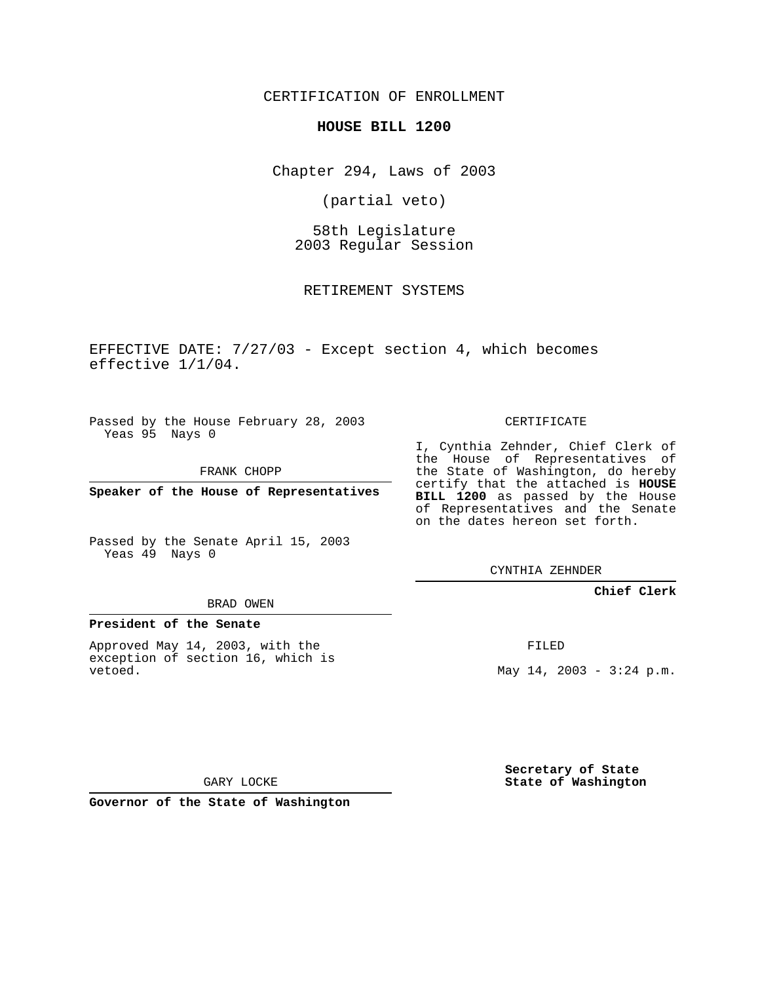CERTIFICATION OF ENROLLMENT

## **HOUSE BILL 1200**

Chapter 294, Laws of 2003

(partial veto)

58th Legislature 2003 Regular Session

RETIREMENT SYSTEMS

EFFECTIVE DATE: 7/27/03 - Except section 4, which becomes effective 1/1/04.

Passed by the House February 28, 2003 Yeas 95 Nays 0

FRANK CHOPP

**Speaker of the House of Representatives**

Passed by the Senate April 15, 2003 Yeas 49 Nays 0

## BRAD OWEN

## **President of the Senate**

Approved May 14, 2003, with the exception of section 16, which is vetoed.

CERTIFICATE

I, Cynthia Zehnder, Chief Clerk of the House of Representatives of the State of Washington, do hereby certify that the attached is **HOUSE BILL 1200** as passed by the House of Representatives and the Senate on the dates hereon set forth.

CYNTHIA ZEHNDER

**Chief Clerk**

FILED

May  $14$ ,  $2003 - 3:24$  p.m.

**Secretary of State State of Washington**

GARY LOCKE

**Governor of the State of Washington**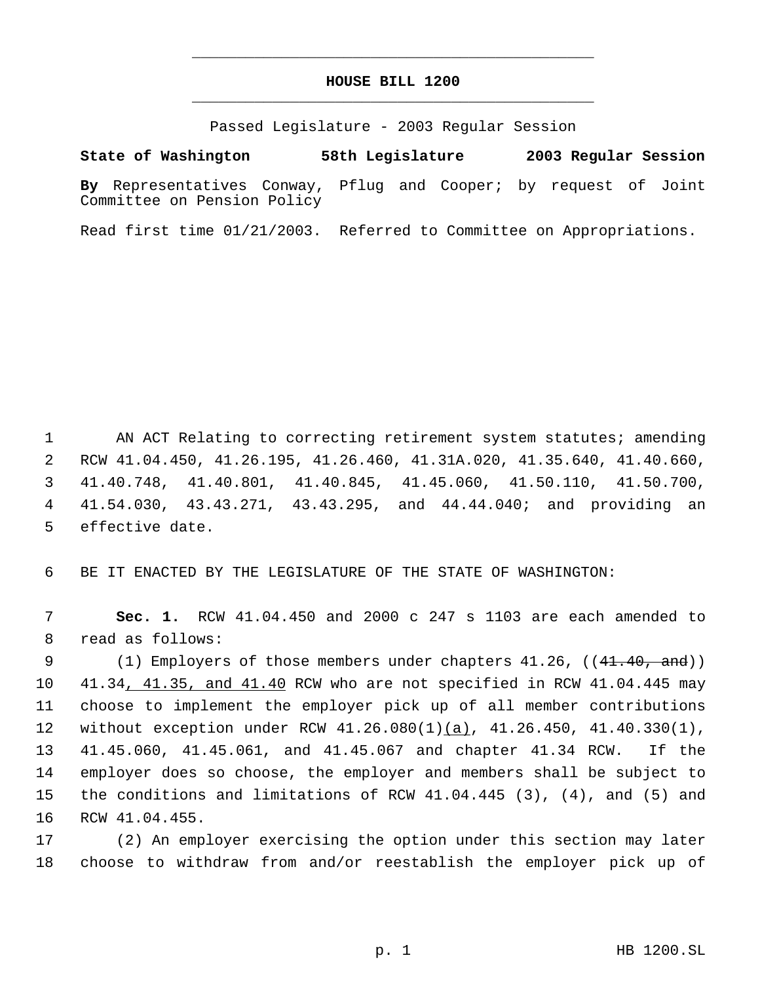## **HOUSE BILL 1200** \_\_\_\_\_\_\_\_\_\_\_\_\_\_\_\_\_\_\_\_\_\_\_\_\_\_\_\_\_\_\_\_\_\_\_\_\_\_\_\_\_\_\_\_\_

\_\_\_\_\_\_\_\_\_\_\_\_\_\_\_\_\_\_\_\_\_\_\_\_\_\_\_\_\_\_\_\_\_\_\_\_\_\_\_\_\_\_\_\_\_

Passed Legislature - 2003 Regular Session

**State of Washington 58th Legislature 2003 Regular Session**

**By** Representatives Conway, Pflug and Cooper; by request of Joint Committee on Pension Policy

Read first time 01/21/2003. Referred to Committee on Appropriations.

1 AN ACT Relating to correcting retirement system statutes; amending RCW 41.04.450, 41.26.195, 41.26.460, 41.31A.020, 41.35.640, 41.40.660, 41.40.748, 41.40.801, 41.40.845, 41.45.060, 41.50.110, 41.50.700, 41.54.030, 43.43.271, 43.43.295, and 44.44.040; and providing an effective date.

6 BE IT ENACTED BY THE LEGISLATURE OF THE STATE OF WASHINGTON:

 7 **Sec. 1.** RCW 41.04.450 and 2000 c 247 s 1103 are each amended to 8 read as follows:

9 (1) Employers of those members under chapters 41.26, ((41.40, and)) 41.34, 41.35, and 41.40 RCW who are not specified in RCW 41.04.445 may choose to implement the employer pick up of all member contributions 12 without exception under RCW 41.26.080(1)(a), 41.26.450, 41.40.330(1), 41.45.060, 41.45.061, and 41.45.067 and chapter 41.34 RCW. If the employer does so choose, the employer and members shall be subject to the conditions and limitations of RCW 41.04.445 (3), (4), and (5) and RCW 41.04.455.

17 (2) An employer exercising the option under this section may later 18 choose to withdraw from and/or reestablish the employer pick up of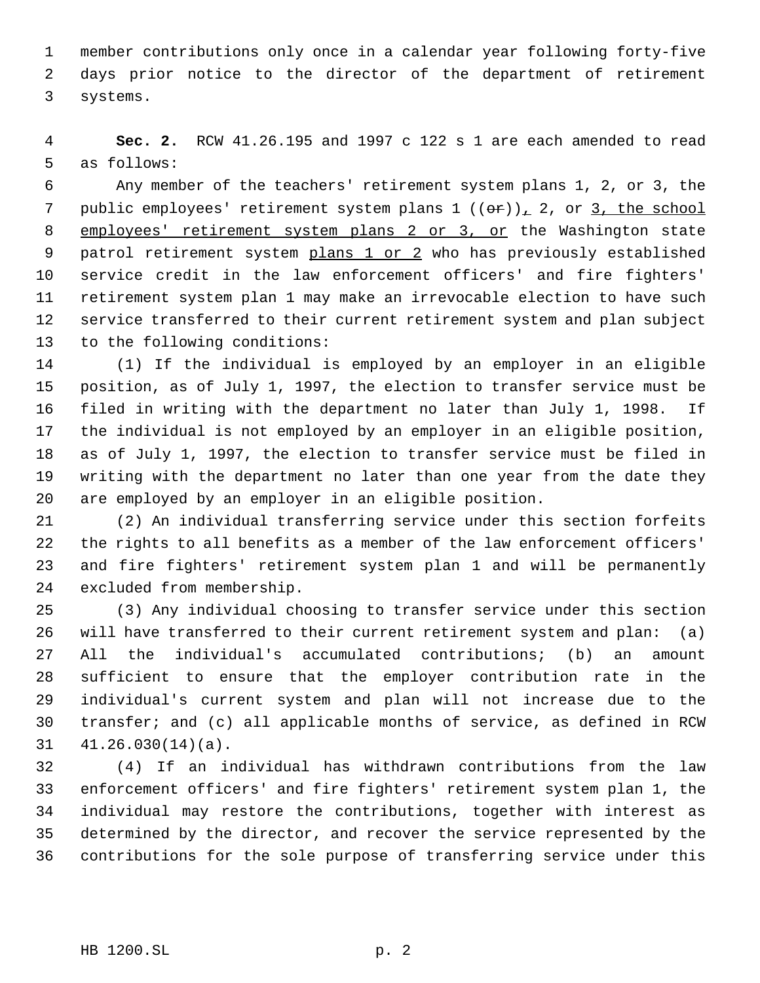member contributions only once in a calendar year following forty-five days prior notice to the director of the department of retirement systems.

 **Sec. 2.** RCW 41.26.195 and 1997 c 122 s 1 are each amended to read as follows:

 Any member of the teachers' retirement system plans 1, 2, or 3, the 7 public employees' retirement system plans  $1((\theta \cdot r))_1$  2, or 3, the school 8 employees' retirement system plans 2 or 3, or the Washington state 9 patrol retirement system plans 1 or 2 who has previously established service credit in the law enforcement officers' and fire fighters' retirement system plan 1 may make an irrevocable election to have such service transferred to their current retirement system and plan subject to the following conditions:

 (1) If the individual is employed by an employer in an eligible position, as of July 1, 1997, the election to transfer service must be filed in writing with the department no later than July 1, 1998. If the individual is not employed by an employer in an eligible position, as of July 1, 1997, the election to transfer service must be filed in writing with the department no later than one year from the date they are employed by an employer in an eligible position.

 (2) An individual transferring service under this section forfeits the rights to all benefits as a member of the law enforcement officers' and fire fighters' retirement system plan 1 and will be permanently excluded from membership.

 (3) Any individual choosing to transfer service under this section will have transferred to their current retirement system and plan: (a) All the individual's accumulated contributions; (b) an amount sufficient to ensure that the employer contribution rate in the individual's current system and plan will not increase due to the transfer; and (c) all applicable months of service, as defined in RCW 41.26.030(14)(a).

 (4) If an individual has withdrawn contributions from the law enforcement officers' and fire fighters' retirement system plan 1, the individual may restore the contributions, together with interest as determined by the director, and recover the service represented by the contributions for the sole purpose of transferring service under this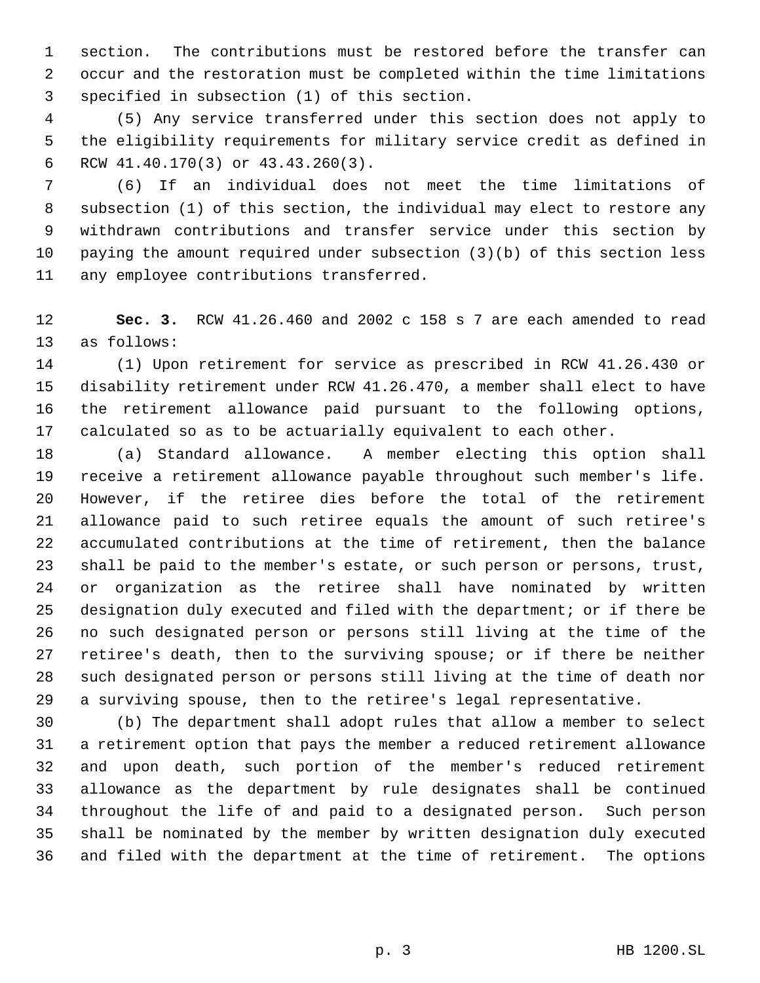section. The contributions must be restored before the transfer can occur and the restoration must be completed within the time limitations specified in subsection (1) of this section.

 (5) Any service transferred under this section does not apply to the eligibility requirements for military service credit as defined in RCW 41.40.170(3) or 43.43.260(3).

 (6) If an individual does not meet the time limitations of subsection (1) of this section, the individual may elect to restore any withdrawn contributions and transfer service under this section by paying the amount required under subsection (3)(b) of this section less any employee contributions transferred.

 **Sec. 3.** RCW 41.26.460 and 2002 c 158 s 7 are each amended to read as follows:

 (1) Upon retirement for service as prescribed in RCW 41.26.430 or disability retirement under RCW 41.26.470, a member shall elect to have the retirement allowance paid pursuant to the following options, calculated so as to be actuarially equivalent to each other.

 (a) Standard allowance. A member electing this option shall receive a retirement allowance payable throughout such member's life. However, if the retiree dies before the total of the retirement allowance paid to such retiree equals the amount of such retiree's accumulated contributions at the time of retirement, then the balance shall be paid to the member's estate, or such person or persons, trust, or organization as the retiree shall have nominated by written designation duly executed and filed with the department; or if there be no such designated person or persons still living at the time of the retiree's death, then to the surviving spouse; or if there be neither such designated person or persons still living at the time of death nor a surviving spouse, then to the retiree's legal representative.

 (b) The department shall adopt rules that allow a member to select a retirement option that pays the member a reduced retirement allowance and upon death, such portion of the member's reduced retirement allowance as the department by rule designates shall be continued throughout the life of and paid to a designated person. Such person shall be nominated by the member by written designation duly executed and filed with the department at the time of retirement. The options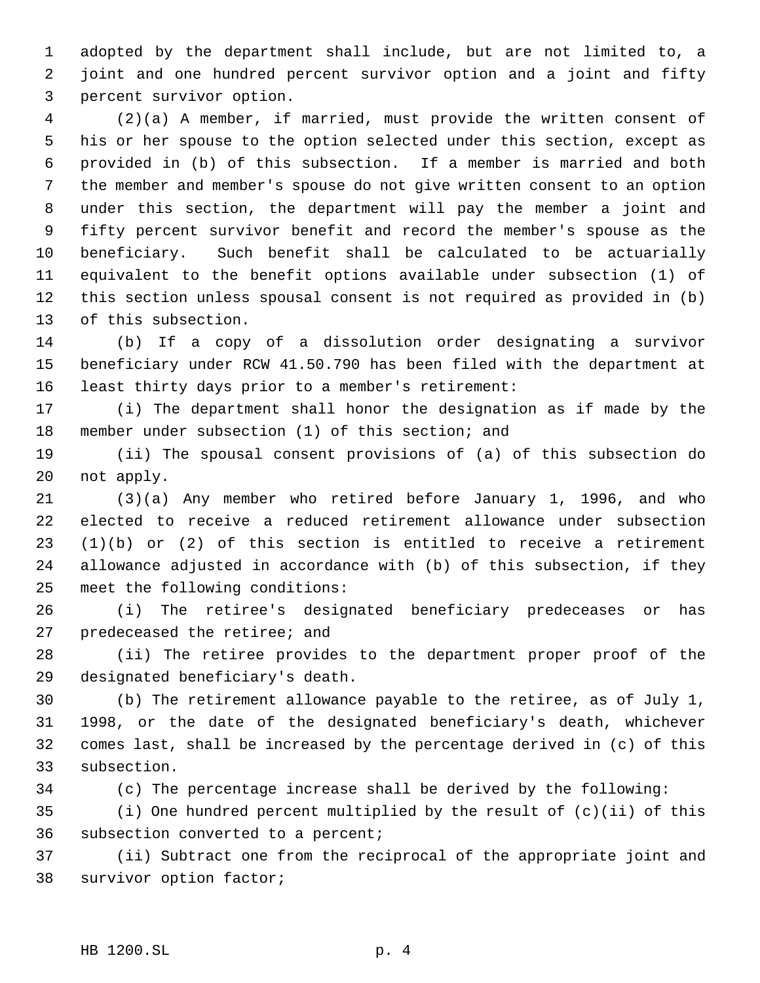adopted by the department shall include, but are not limited to, a joint and one hundred percent survivor option and a joint and fifty percent survivor option.

 (2)(a) A member, if married, must provide the written consent of his or her spouse to the option selected under this section, except as provided in (b) of this subsection. If a member is married and both the member and member's spouse do not give written consent to an option under this section, the department will pay the member a joint and fifty percent survivor benefit and record the member's spouse as the beneficiary. Such benefit shall be calculated to be actuarially equivalent to the benefit options available under subsection (1) of this section unless spousal consent is not required as provided in (b) of this subsection.

 (b) If a copy of a dissolution order designating a survivor beneficiary under RCW 41.50.790 has been filed with the department at least thirty days prior to a member's retirement:

 (i) The department shall honor the designation as if made by the member under subsection (1) of this section; and

 (ii) The spousal consent provisions of (a) of this subsection do not apply.

 (3)(a) Any member who retired before January 1, 1996, and who elected to receive a reduced retirement allowance under subsection (1)(b) or (2) of this section is entitled to receive a retirement allowance adjusted in accordance with (b) of this subsection, if they meet the following conditions:

 (i) The retiree's designated beneficiary predeceases or has predeceased the retiree; and

 (ii) The retiree provides to the department proper proof of the designated beneficiary's death.

 (b) The retirement allowance payable to the retiree, as of July 1, 1998, or the date of the designated beneficiary's death, whichever comes last, shall be increased by the percentage derived in (c) of this subsection.

(c) The percentage increase shall be derived by the following:

 (i) One hundred percent multiplied by the result of (c)(ii) of this subsection converted to a percent;

 (ii) Subtract one from the reciprocal of the appropriate joint and survivor option factor;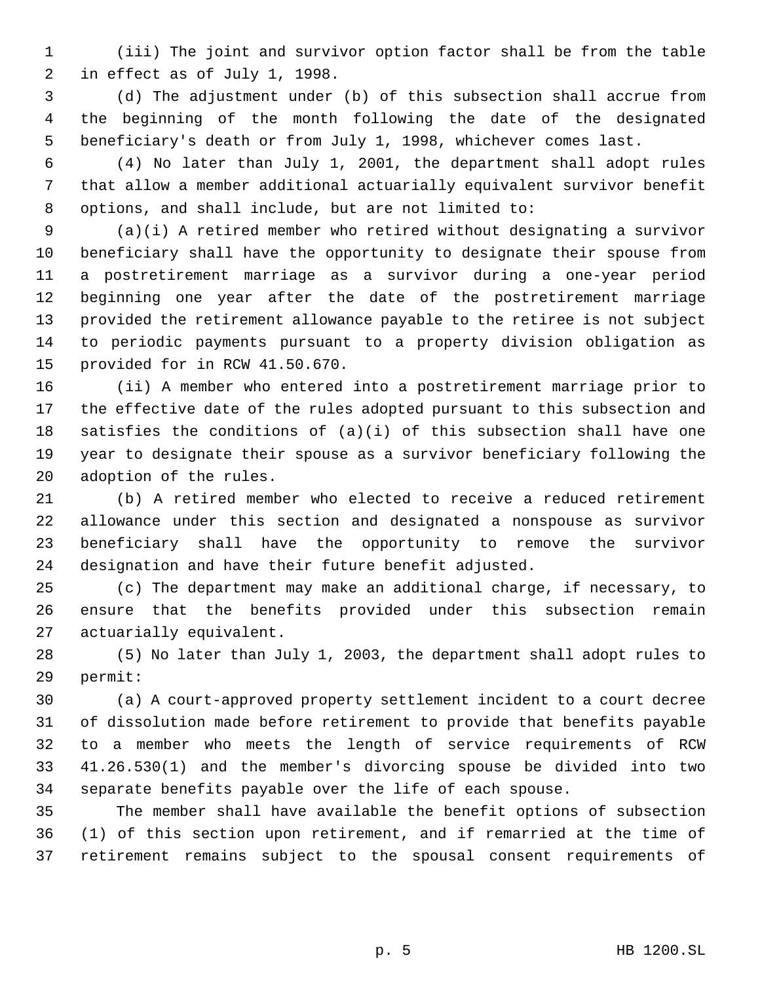(iii) The joint and survivor option factor shall be from the table in effect as of July 1, 1998.

 (d) The adjustment under (b) of this subsection shall accrue from the beginning of the month following the date of the designated beneficiary's death or from July 1, 1998, whichever comes last.

 (4) No later than July 1, 2001, the department shall adopt rules that allow a member additional actuarially equivalent survivor benefit options, and shall include, but are not limited to:

 (a)(i) A retired member who retired without designating a survivor beneficiary shall have the opportunity to designate their spouse from a postretirement marriage as a survivor during a one-year period beginning one year after the date of the postretirement marriage provided the retirement allowance payable to the retiree is not subject to periodic payments pursuant to a property division obligation as provided for in RCW 41.50.670.

 (ii) A member who entered into a postretirement marriage prior to the effective date of the rules adopted pursuant to this subsection and satisfies the conditions of (a)(i) of this subsection shall have one year to designate their spouse as a survivor beneficiary following the adoption of the rules.

 (b) A retired member who elected to receive a reduced retirement allowance under this section and designated a nonspouse as survivor beneficiary shall have the opportunity to remove the survivor designation and have their future benefit adjusted.

 (c) The department may make an additional charge, if necessary, to ensure that the benefits provided under this subsection remain actuarially equivalent.

 (5) No later than July 1, 2003, the department shall adopt rules to permit:

 (a) A court-approved property settlement incident to a court decree of dissolution made before retirement to provide that benefits payable to a member who meets the length of service requirements of RCW 41.26.530(1) and the member's divorcing spouse be divided into two separate benefits payable over the life of each spouse.

 The member shall have available the benefit options of subsection (1) of this section upon retirement, and if remarried at the time of retirement remains subject to the spousal consent requirements of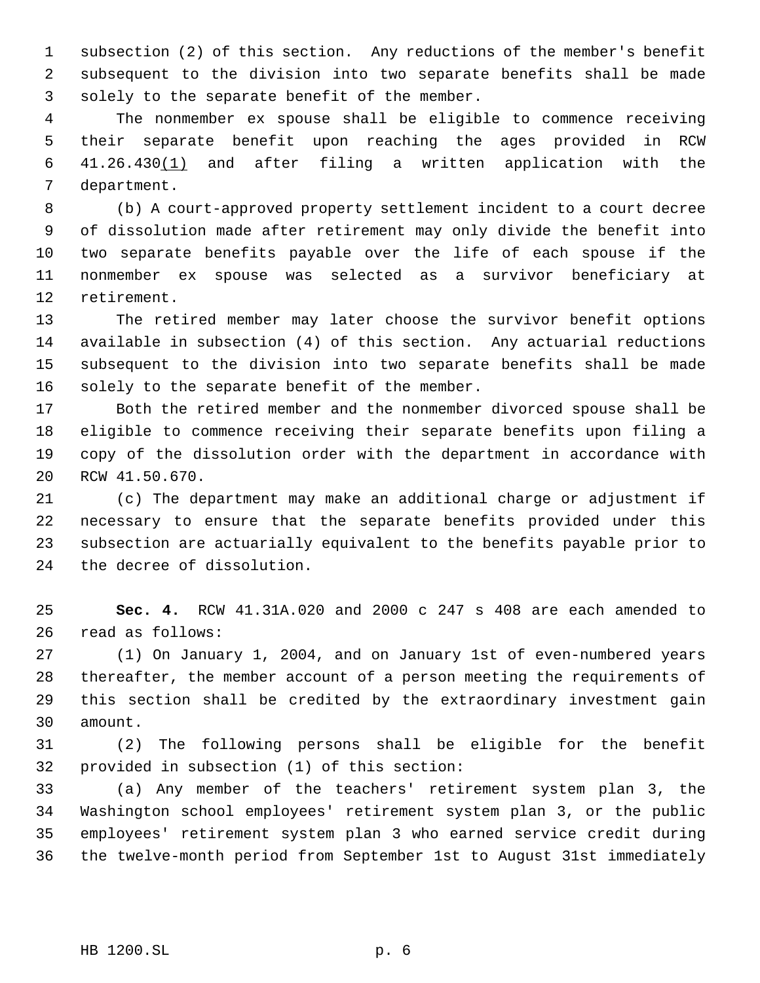subsection (2) of this section. Any reductions of the member's benefit subsequent to the division into two separate benefits shall be made solely to the separate benefit of the member.

 The nonmember ex spouse shall be eligible to commence receiving their separate benefit upon reaching the ages provided in RCW 41.26.430(1) and after filing a written application with the department.

 (b) A court-approved property settlement incident to a court decree of dissolution made after retirement may only divide the benefit into two separate benefits payable over the life of each spouse if the nonmember ex spouse was selected as a survivor beneficiary at retirement.

 The retired member may later choose the survivor benefit options available in subsection (4) of this section. Any actuarial reductions subsequent to the division into two separate benefits shall be made 16 solely to the separate benefit of the member.

 Both the retired member and the nonmember divorced spouse shall be eligible to commence receiving their separate benefits upon filing a copy of the dissolution order with the department in accordance with RCW 41.50.670.

 (c) The department may make an additional charge or adjustment if necessary to ensure that the separate benefits provided under this subsection are actuarially equivalent to the benefits payable prior to the decree of dissolution.

 **Sec. 4.** RCW 41.31A.020 and 2000 c 247 s 408 are each amended to read as follows:

 (1) On January 1, 2004, and on January 1st of even-numbered years thereafter, the member account of a person meeting the requirements of this section shall be credited by the extraordinary investment gain amount.

 (2) The following persons shall be eligible for the benefit provided in subsection (1) of this section:

 (a) Any member of the teachers' retirement system plan 3, the Washington school employees' retirement system plan 3, or the public employees' retirement system plan 3 who earned service credit during the twelve-month period from September 1st to August 31st immediately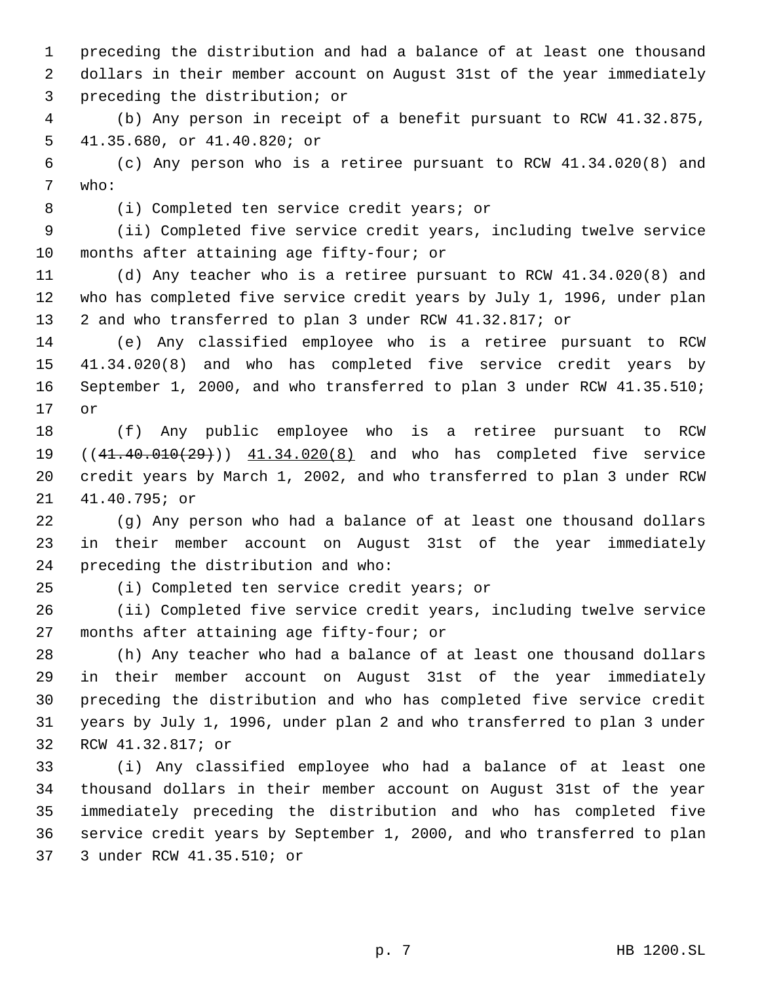preceding the distribution and had a balance of at least one thousand dollars in their member account on August 31st of the year immediately preceding the distribution; or

 (b) Any person in receipt of a benefit pursuant to RCW 41.32.875, 41.35.680, or 41.40.820; or

 (c) Any person who is a retiree pursuant to RCW 41.34.020(8) and who:

(i) Completed ten service credit years; or

 (ii) Completed five service credit years, including twelve service months after attaining age fifty-four; or

 (d) Any teacher who is a retiree pursuant to RCW 41.34.020(8) and who has completed five service credit years by July 1, 1996, under plan 2 and who transferred to plan 3 under RCW 41.32.817; or

 (e) Any classified employee who is a retiree pursuant to RCW 41.34.020(8) and who has completed five service credit years by September 1, 2000, and who transferred to plan 3 under RCW 41.35.510; or

 (f) Any public employee who is a retiree pursuant to RCW 19 ((41.40.010(29))) 41.34.020(8) and who has completed five service credit years by March 1, 2002, and who transferred to plan 3 under RCW 41.40.795; or

 (g) Any person who had a balance of at least one thousand dollars in their member account on August 31st of the year immediately preceding the distribution and who:

(i) Completed ten service credit years; or

 (ii) Completed five service credit years, including twelve service months after attaining age fifty-four; or

 (h) Any teacher who had a balance of at least one thousand dollars in their member account on August 31st of the year immediately preceding the distribution and who has completed five service credit years by July 1, 1996, under plan 2 and who transferred to plan 3 under RCW 41.32.817; or

 (i) Any classified employee who had a balance of at least one thousand dollars in their member account on August 31st of the year immediately preceding the distribution and who has completed five service credit years by September 1, 2000, and who transferred to plan 3 under RCW 41.35.510; or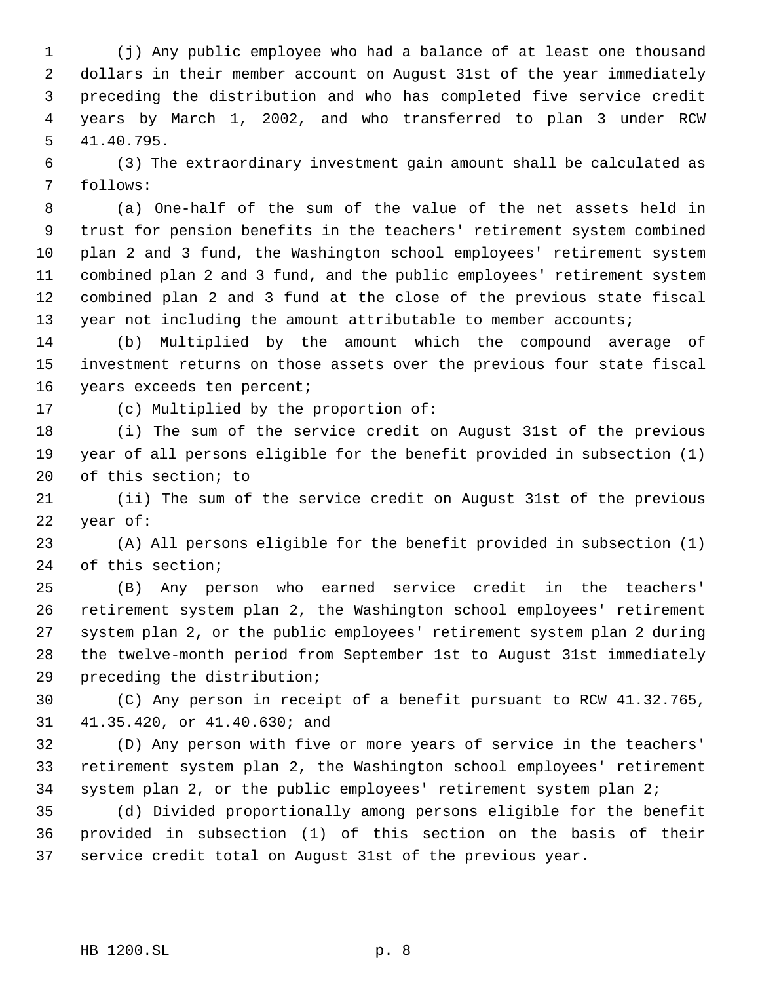(j) Any public employee who had a balance of at least one thousand dollars in their member account on August 31st of the year immediately preceding the distribution and who has completed five service credit years by March 1, 2002, and who transferred to plan 3 under RCW 41.40.795.

 (3) The extraordinary investment gain amount shall be calculated as follows:

 (a) One-half of the sum of the value of the net assets held in trust for pension benefits in the teachers' retirement system combined plan 2 and 3 fund, the Washington school employees' retirement system combined plan 2 and 3 fund, and the public employees' retirement system combined plan 2 and 3 fund at the close of the previous state fiscal 13 year not including the amount attributable to member accounts;

 (b) Multiplied by the amount which the compound average of investment returns on those assets over the previous four state fiscal years exceeds ten percent;

(c) Multiplied by the proportion of:

 (i) The sum of the service credit on August 31st of the previous year of all persons eligible for the benefit provided in subsection (1) of this section; to

 (ii) The sum of the service credit on August 31st of the previous year of:

 (A) All persons eligible for the benefit provided in subsection (1) of this section;

 (B) Any person who earned service credit in the teachers' retirement system plan 2, the Washington school employees' retirement system plan 2, or the public employees' retirement system plan 2 during the twelve-month period from September 1st to August 31st immediately preceding the distribution;

 (C) Any person in receipt of a benefit pursuant to RCW 41.32.765, 41.35.420, or 41.40.630; and

 (D) Any person with five or more years of service in the teachers' retirement system plan 2, the Washington school employees' retirement system plan 2, or the public employees' retirement system plan 2;

 (d) Divided proportionally among persons eligible for the benefit provided in subsection (1) of this section on the basis of their service credit total on August 31st of the previous year.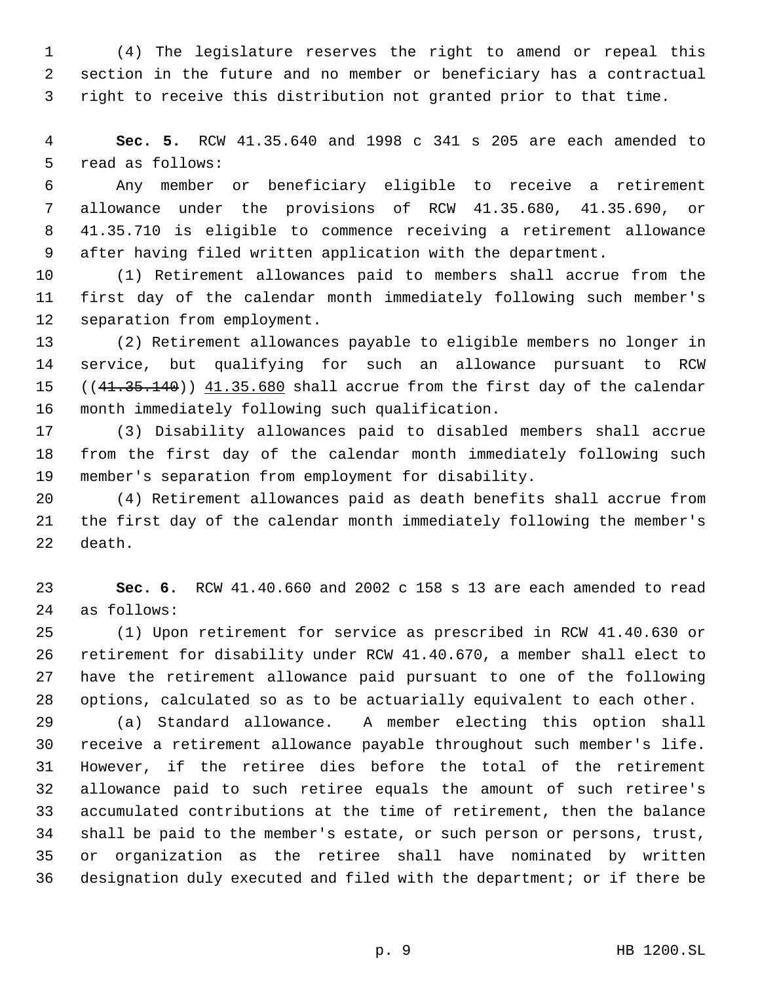(4) The legislature reserves the right to amend or repeal this section in the future and no member or beneficiary has a contractual right to receive this distribution not granted prior to that time.

 **Sec. 5.** RCW 41.35.640 and 1998 c 341 s 205 are each amended to read as follows:

 Any member or beneficiary eligible to receive a retirement allowance under the provisions of RCW 41.35.680, 41.35.690, or 41.35.710 is eligible to commence receiving a retirement allowance after having filed written application with the department.

 (1) Retirement allowances paid to members shall accrue from the first day of the calendar month immediately following such member's separation from employment.

 (2) Retirement allowances payable to eligible members no longer in service, but qualifying for such an allowance pursuant to RCW 15 ((41.35.140)) 41.35.680 shall accrue from the first day of the calendar month immediately following such qualification.

 (3) Disability allowances paid to disabled members shall accrue from the first day of the calendar month immediately following such member's separation from employment for disability.

 (4) Retirement allowances paid as death benefits shall accrue from the first day of the calendar month immediately following the member's death.

 **Sec. 6.** RCW 41.40.660 and 2002 c 158 s 13 are each amended to read as follows:

 (1) Upon retirement for service as prescribed in RCW 41.40.630 or retirement for disability under RCW 41.40.670, a member shall elect to have the retirement allowance paid pursuant to one of the following options, calculated so as to be actuarially equivalent to each other.

 (a) Standard allowance. A member electing this option shall receive a retirement allowance payable throughout such member's life. However, if the retiree dies before the total of the retirement allowance paid to such retiree equals the amount of such retiree's accumulated contributions at the time of retirement, then the balance shall be paid to the member's estate, or such person or persons, trust, or organization as the retiree shall have nominated by written designation duly executed and filed with the department; or if there be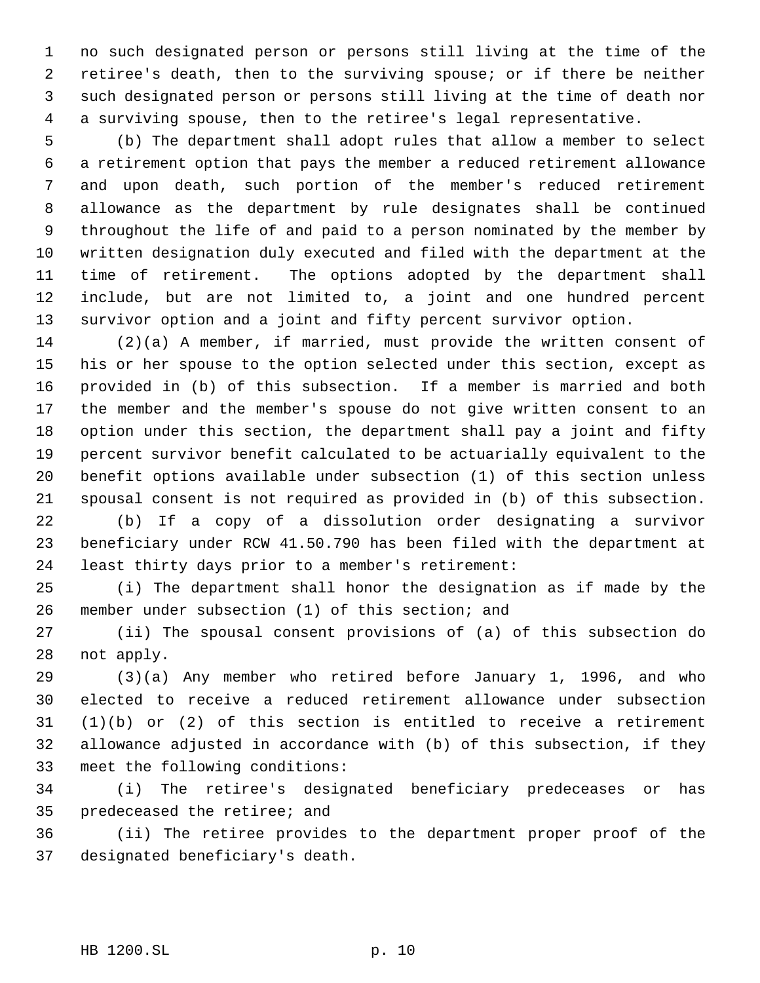no such designated person or persons still living at the time of the retiree's death, then to the surviving spouse; or if there be neither such designated person or persons still living at the time of death nor a surviving spouse, then to the retiree's legal representative.

 (b) The department shall adopt rules that allow a member to select a retirement option that pays the member a reduced retirement allowance and upon death, such portion of the member's reduced retirement allowance as the department by rule designates shall be continued throughout the life of and paid to a person nominated by the member by written designation duly executed and filed with the department at the time of retirement. The options adopted by the department shall include, but are not limited to, a joint and one hundred percent survivor option and a joint and fifty percent survivor option.

 (2)(a) A member, if married, must provide the written consent of his or her spouse to the option selected under this section, except as provided in (b) of this subsection. If a member is married and both the member and the member's spouse do not give written consent to an option under this section, the department shall pay a joint and fifty percent survivor benefit calculated to be actuarially equivalent to the benefit options available under subsection (1) of this section unless spousal consent is not required as provided in (b) of this subsection.

 (b) If a copy of a dissolution order designating a survivor beneficiary under RCW 41.50.790 has been filed with the department at least thirty days prior to a member's retirement:

 (i) The department shall honor the designation as if made by the member under subsection (1) of this section; and

 (ii) The spousal consent provisions of (a) of this subsection do not apply.

 (3)(a) Any member who retired before January 1, 1996, and who elected to receive a reduced retirement allowance under subsection (1)(b) or (2) of this section is entitled to receive a retirement allowance adjusted in accordance with (b) of this subsection, if they meet the following conditions:

 (i) The retiree's designated beneficiary predeceases or has predeceased the retiree; and

 (ii) The retiree provides to the department proper proof of the designated beneficiary's death.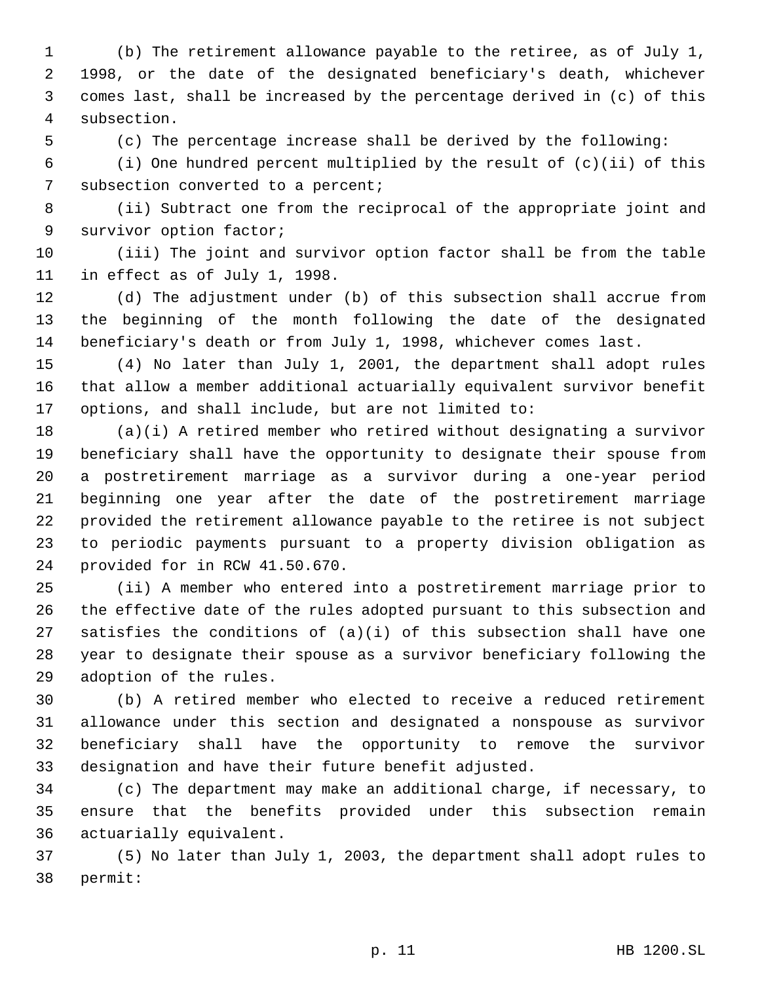(b) The retirement allowance payable to the retiree, as of July 1, 1998, or the date of the designated beneficiary's death, whichever comes last, shall be increased by the percentage derived in (c) of this subsection.

(c) The percentage increase shall be derived by the following:

 (i) One hundred percent multiplied by the result of (c)(ii) of this 7 subsection converted to a percent;

 (ii) Subtract one from the reciprocal of the appropriate joint and survivor option factor;

 (iii) The joint and survivor option factor shall be from the table in effect as of July 1, 1998.

 (d) The adjustment under (b) of this subsection shall accrue from the beginning of the month following the date of the designated beneficiary's death or from July 1, 1998, whichever comes last.

 (4) No later than July 1, 2001, the department shall adopt rules that allow a member additional actuarially equivalent survivor benefit options, and shall include, but are not limited to:

 (a)(i) A retired member who retired without designating a survivor beneficiary shall have the opportunity to designate their spouse from a postretirement marriage as a survivor during a one-year period beginning one year after the date of the postretirement marriage provided the retirement allowance payable to the retiree is not subject to periodic payments pursuant to a property division obligation as provided for in RCW 41.50.670.

 (ii) A member who entered into a postretirement marriage prior to the effective date of the rules adopted pursuant to this subsection and satisfies the conditions of (a)(i) of this subsection shall have one year to designate their spouse as a survivor beneficiary following the adoption of the rules.

 (b) A retired member who elected to receive a reduced retirement allowance under this section and designated a nonspouse as survivor beneficiary shall have the opportunity to remove the survivor designation and have their future benefit adjusted.

 (c) The department may make an additional charge, if necessary, to ensure that the benefits provided under this subsection remain actuarially equivalent.

 (5) No later than July 1, 2003, the department shall adopt rules to permit: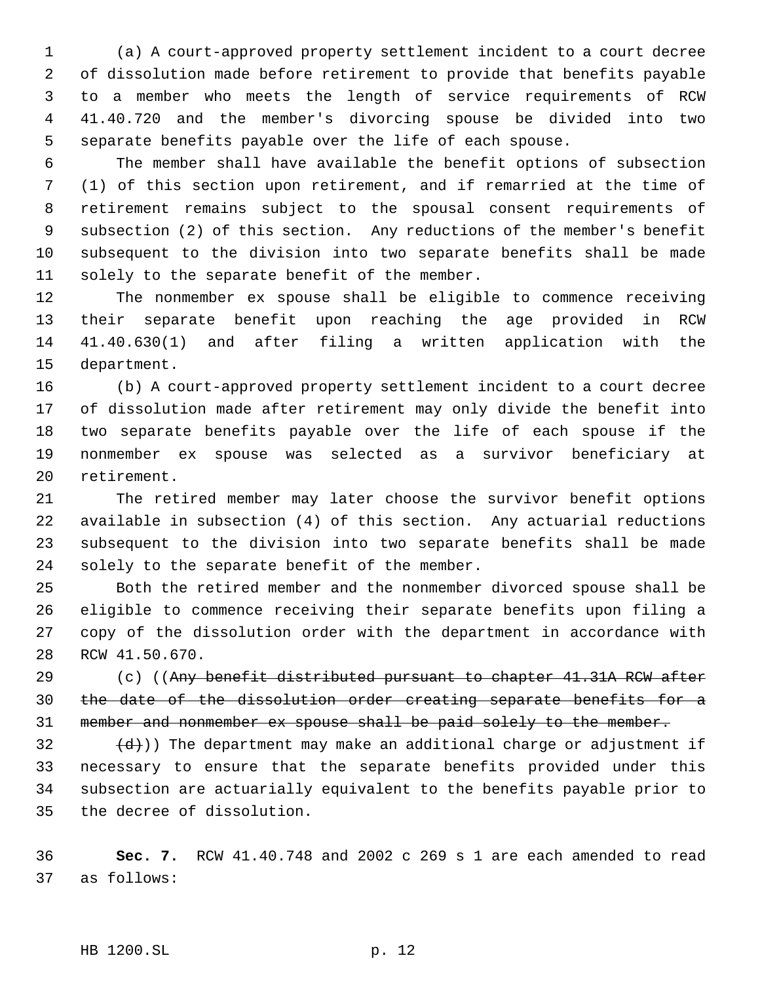(a) A court-approved property settlement incident to a court decree of dissolution made before retirement to provide that benefits payable to a member who meets the length of service requirements of RCW 41.40.720 and the member's divorcing spouse be divided into two separate benefits payable over the life of each spouse.

 The member shall have available the benefit options of subsection (1) of this section upon retirement, and if remarried at the time of retirement remains subject to the spousal consent requirements of subsection (2) of this section. Any reductions of the member's benefit subsequent to the division into two separate benefits shall be made solely to the separate benefit of the member.

 The nonmember ex spouse shall be eligible to commence receiving their separate benefit upon reaching the age provided in RCW 41.40.630(1) and after filing a written application with the department.

 (b) A court-approved property settlement incident to a court decree of dissolution made after retirement may only divide the benefit into two separate benefits payable over the life of each spouse if the nonmember ex spouse was selected as a survivor beneficiary at retirement.

 The retired member may later choose the survivor benefit options available in subsection (4) of this section. Any actuarial reductions subsequent to the division into two separate benefits shall be made solely to the separate benefit of the member.

 Both the retired member and the nonmember divorced spouse shall be eligible to commence receiving their separate benefits upon filing a copy of the dissolution order with the department in accordance with RCW 41.50.670.

29 (c) ((Any benefit distributed pursuant to chapter 41.31A RCW after the date of the dissolution order creating separate benefits for a 31 member and nonmember ex spouse shall be paid solely to the member.

 $\left(\frac{d}{d}\right)$ ) The department may make an additional charge or adjustment if necessary to ensure that the separate benefits provided under this subsection are actuarially equivalent to the benefits payable prior to the decree of dissolution.

 **Sec. 7.** RCW 41.40.748 and 2002 c 269 s 1 are each amended to read as follows: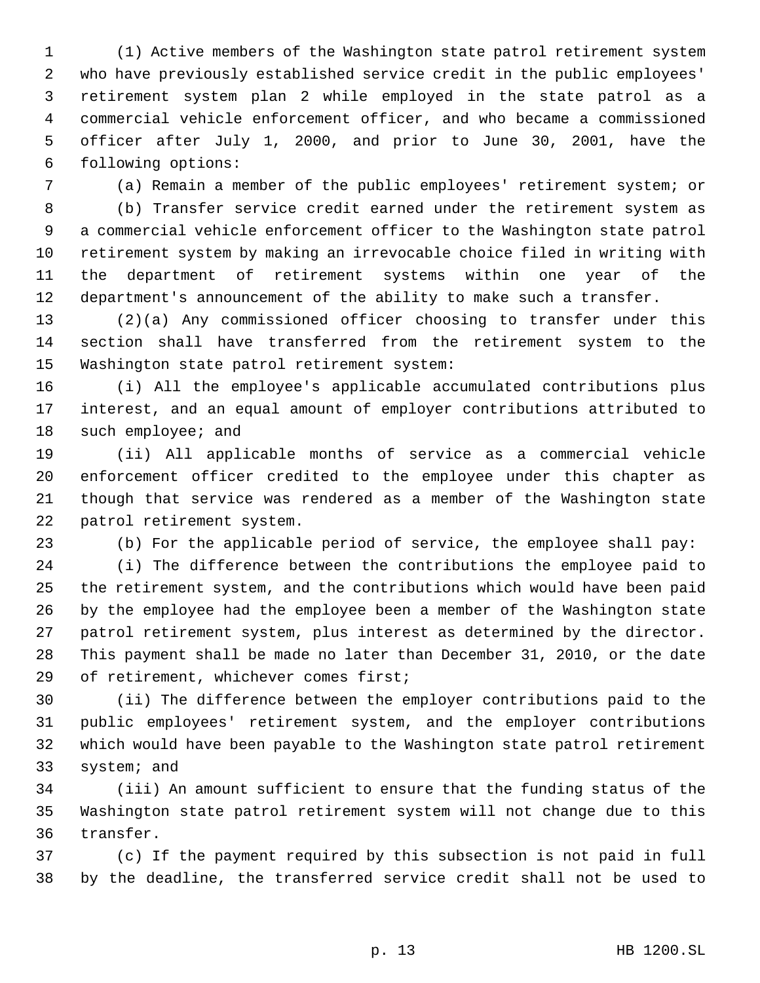(1) Active members of the Washington state patrol retirement system who have previously established service credit in the public employees' retirement system plan 2 while employed in the state patrol as a commercial vehicle enforcement officer, and who became a commissioned officer after July 1, 2000, and prior to June 30, 2001, have the following options:

(a) Remain a member of the public employees' retirement system; or

 (b) Transfer service credit earned under the retirement system as a commercial vehicle enforcement officer to the Washington state patrol retirement system by making an irrevocable choice filed in writing with the department of retirement systems within one year of the department's announcement of the ability to make such a transfer.

 (2)(a) Any commissioned officer choosing to transfer under this section shall have transferred from the retirement system to the Washington state patrol retirement system:

 (i) All the employee's applicable accumulated contributions plus interest, and an equal amount of employer contributions attributed to such employee; and

 (ii) All applicable months of service as a commercial vehicle enforcement officer credited to the employee under this chapter as though that service was rendered as a member of the Washington state patrol retirement system.

(b) For the applicable period of service, the employee shall pay:

 (i) The difference between the contributions the employee paid to the retirement system, and the contributions which would have been paid by the employee had the employee been a member of the Washington state patrol retirement system, plus interest as determined by the director. This payment shall be made no later than December 31, 2010, or the date of retirement, whichever comes first;

 (ii) The difference between the employer contributions paid to the public employees' retirement system, and the employer contributions which would have been payable to the Washington state patrol retirement system; and

 (iii) An amount sufficient to ensure that the funding status of the Washington state patrol retirement system will not change due to this transfer.

 (c) If the payment required by this subsection is not paid in full by the deadline, the transferred service credit shall not be used to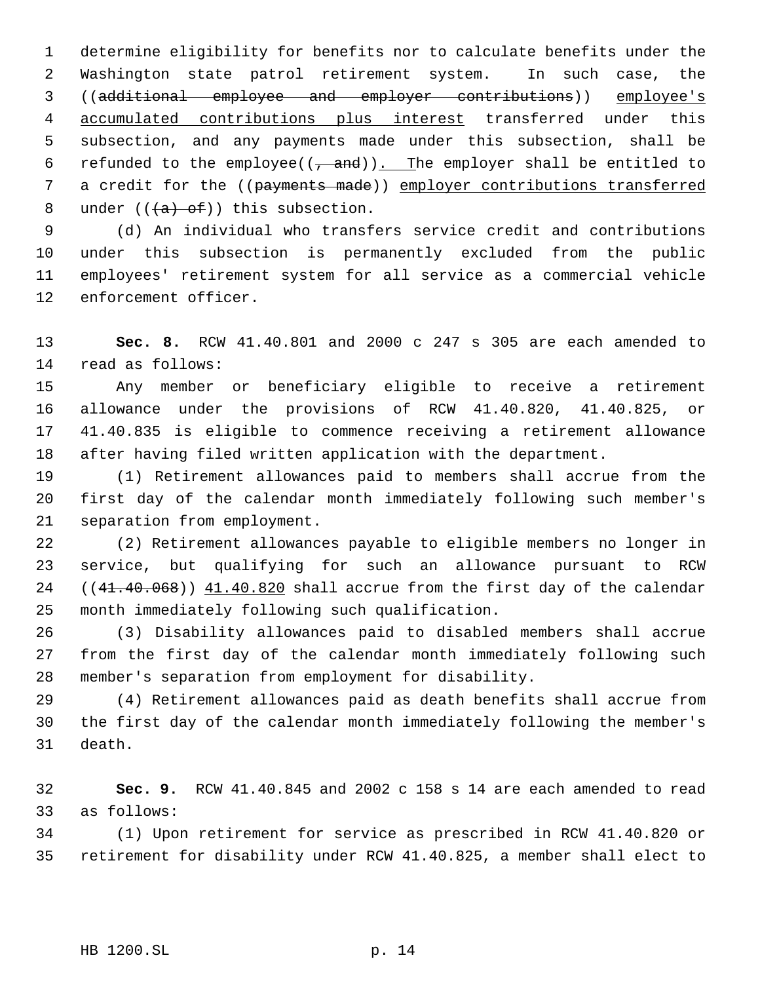determine eligibility for benefits nor to calculate benefits under the Washington state patrol retirement system. In such case, the ((additional employee and employer contributions)) employee's accumulated contributions plus interest transferred under this subsection, and any payments made under this subsection, shall be 6 refunded to the employee( $(\tau$  and)). The employer shall be entitled to 7 a credit for the ((payments made)) employer contributions transferred 8 under  $((+a)$  of)) this subsection.

 (d) An individual who transfers service credit and contributions under this subsection is permanently excluded from the public employees' retirement system for all service as a commercial vehicle enforcement officer.

 **Sec. 8.** RCW 41.40.801 and 2000 c 247 s 305 are each amended to read as follows:

 Any member or beneficiary eligible to receive a retirement allowance under the provisions of RCW 41.40.820, 41.40.825, or 41.40.835 is eligible to commence receiving a retirement allowance after having filed written application with the department.

 (1) Retirement allowances paid to members shall accrue from the first day of the calendar month immediately following such member's separation from employment.

 (2) Retirement allowances payable to eligible members no longer in service, but qualifying for such an allowance pursuant to RCW 24 ((41.40.068)) 41.40.820 shall accrue from the first day of the calendar month immediately following such qualification.

 (3) Disability allowances paid to disabled members shall accrue from the first day of the calendar month immediately following such member's separation from employment for disability.

 (4) Retirement allowances paid as death benefits shall accrue from the first day of the calendar month immediately following the member's death.

 **Sec. 9.** RCW 41.40.845 and 2002 c 158 s 14 are each amended to read as follows:

 (1) Upon retirement for service as prescribed in RCW 41.40.820 or retirement for disability under RCW 41.40.825, a member shall elect to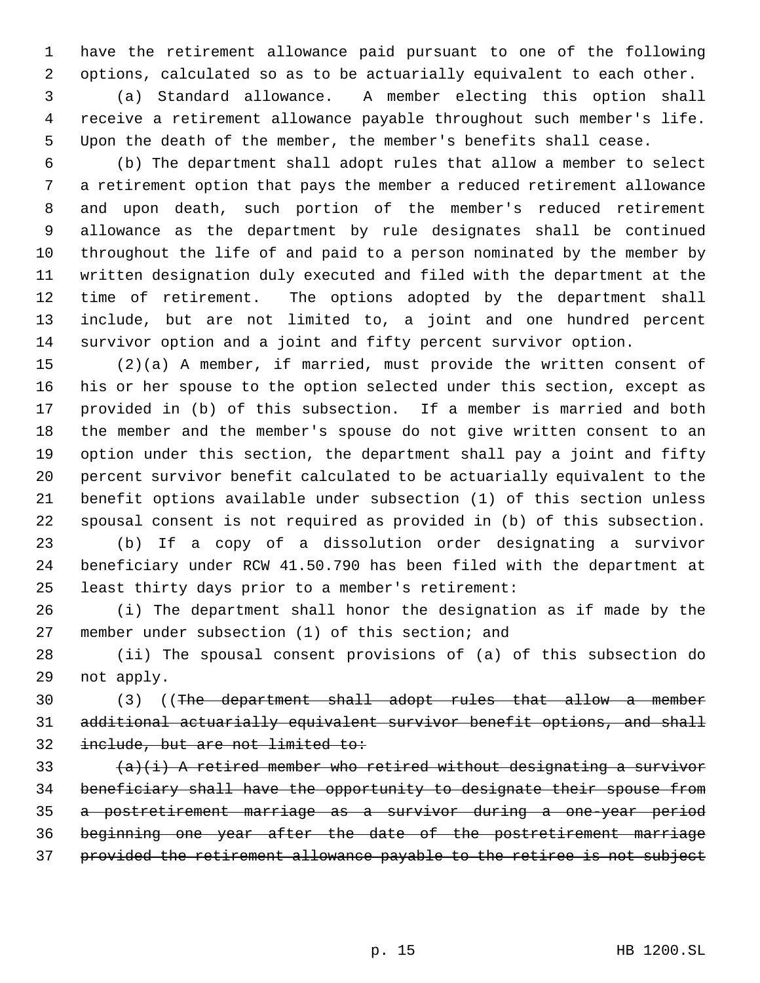have the retirement allowance paid pursuant to one of the following options, calculated so as to be actuarially equivalent to each other.

 (a) Standard allowance. A member electing this option shall receive a retirement allowance payable throughout such member's life. Upon the death of the member, the member's benefits shall cease.

 (b) The department shall adopt rules that allow a member to select a retirement option that pays the member a reduced retirement allowance and upon death, such portion of the member's reduced retirement allowance as the department by rule designates shall be continued throughout the life of and paid to a person nominated by the member by written designation duly executed and filed with the department at the time of retirement. The options adopted by the department shall include, but are not limited to, a joint and one hundred percent survivor option and a joint and fifty percent survivor option.

 (2)(a) A member, if married, must provide the written consent of his or her spouse to the option selected under this section, except as provided in (b) of this subsection. If a member is married and both the member and the member's spouse do not give written consent to an option under this section, the department shall pay a joint and fifty percent survivor benefit calculated to be actuarially equivalent to the benefit options available under subsection (1) of this section unless spousal consent is not required as provided in (b) of this subsection.

 (b) If a copy of a dissolution order designating a survivor beneficiary under RCW 41.50.790 has been filed with the department at least thirty days prior to a member's retirement:

 (i) The department shall honor the designation as if made by the member under subsection (1) of this section; and

 (ii) The spousal consent provisions of (a) of this subsection do not apply.

 (3) ((The department shall adopt rules that allow a member additional actuarially equivalent survivor benefit options, and shall 32 include, but are not limited to:

 $(a)(i)$  A retired member who retired without designating a survivor beneficiary shall have the opportunity to designate their spouse from a postretirement marriage as a survivor during a one-year period beginning one year after the date of the postretirement marriage provided the retirement allowance payable to the retiree is not subject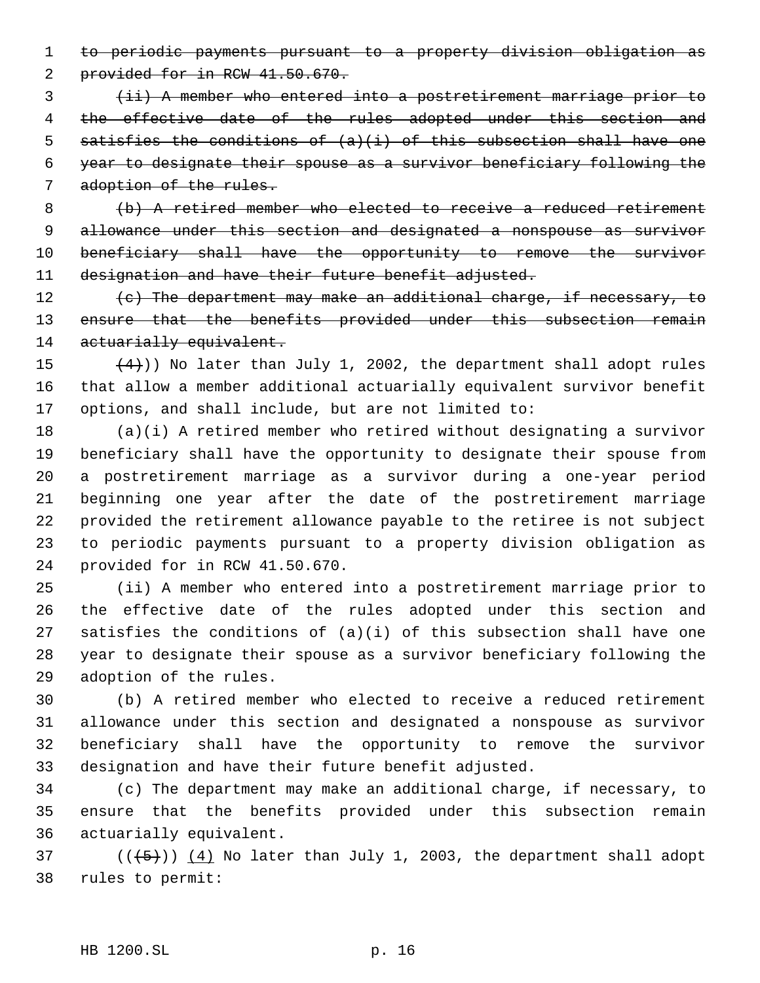to periodic payments pursuant to a property division obligation as 2 provided for in RCW 41.50.670.

 (ii) A member who entered into a postretirement marriage prior to the effective date of the rules adopted under this section and 5 satisfies the conditions of  $(a)(i)$  of this subsection shall have one year to designate their spouse as a survivor beneficiary following the 7 adoption of the rules.

 (b) A retired member who elected to receive a reduced retirement allowance under this section and designated a nonspouse as survivor 10 beneficiary shall have the opportunity to remove the survivor 11 designation and have their future benefit adjusted.

 $\left\{e\right\}$  The department may make an additional charge, if necessary, to 13 ensure that the benefits provided under this subsection remain 14 actuarially equivalent.

15  $(4)$ )) No later than July 1, 2002, the department shall adopt rules that allow a member additional actuarially equivalent survivor benefit options, and shall include, but are not limited to:

 (a)(i) A retired member who retired without designating a survivor beneficiary shall have the opportunity to designate their spouse from a postretirement marriage as a survivor during a one-year period beginning one year after the date of the postretirement marriage provided the retirement allowance payable to the retiree is not subject to periodic payments pursuant to a property division obligation as provided for in RCW 41.50.670.

 (ii) A member who entered into a postretirement marriage prior to the effective date of the rules adopted under this section and satisfies the conditions of (a)(i) of this subsection shall have one year to designate their spouse as a survivor beneficiary following the adoption of the rules.

 (b) A retired member who elected to receive a reduced retirement allowance under this section and designated a nonspouse as survivor beneficiary shall have the opportunity to remove the survivor designation and have their future benefit adjusted.

 (c) The department may make an additional charge, if necessary, to ensure that the benefits provided under this subsection remain actuarially equivalent.

37 ( $(\overline{5})$ ) (4) No later than July 1, 2003, the department shall adopt rules to permit: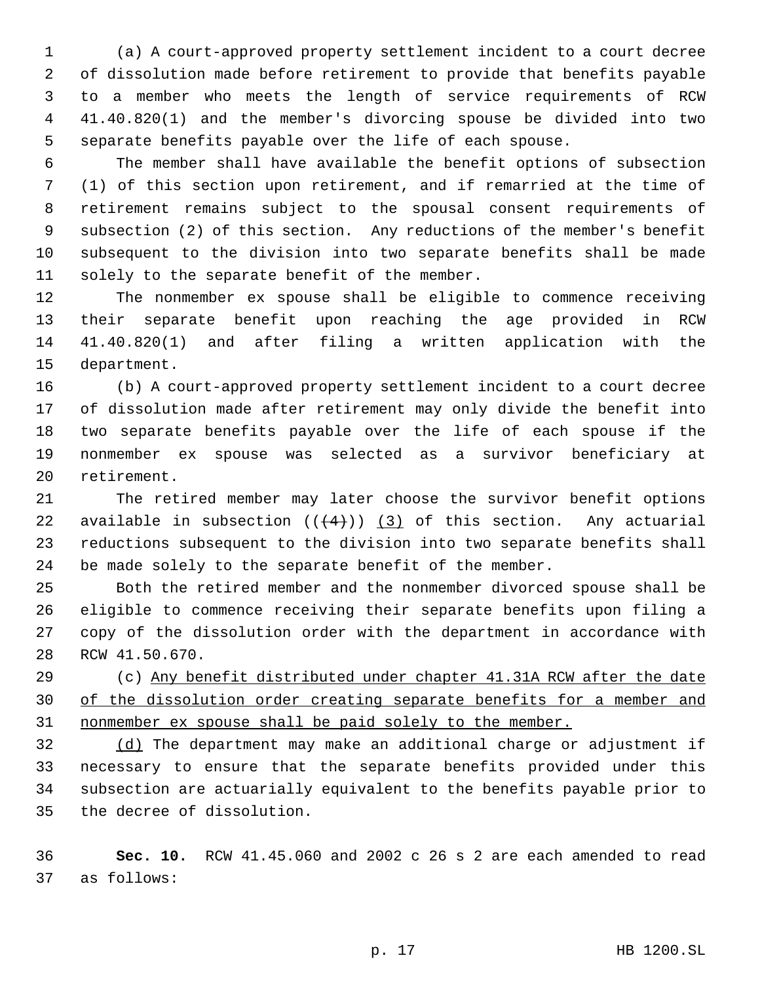(a) A court-approved property settlement incident to a court decree of dissolution made before retirement to provide that benefits payable to a member who meets the length of service requirements of RCW 41.40.820(1) and the member's divorcing spouse be divided into two separate benefits payable over the life of each spouse.

 The member shall have available the benefit options of subsection (1) of this section upon retirement, and if remarried at the time of retirement remains subject to the spousal consent requirements of subsection (2) of this section. Any reductions of the member's benefit subsequent to the division into two separate benefits shall be made solely to the separate benefit of the member.

 The nonmember ex spouse shall be eligible to commence receiving their separate benefit upon reaching the age provided in RCW 41.40.820(1) and after filing a written application with the department.

 (b) A court-approved property settlement incident to a court decree of dissolution made after retirement may only divide the benefit into two separate benefits payable over the life of each spouse if the nonmember ex spouse was selected as a survivor beneficiary at retirement.

 The retired member may later choose the survivor benefit options 22 available in subsection  $((+4))$   $(3)$  of this section. Any actuarial reductions subsequent to the division into two separate benefits shall be made solely to the separate benefit of the member.

 Both the retired member and the nonmember divorced spouse shall be eligible to commence receiving their separate benefits upon filing a copy of the dissolution order with the department in accordance with RCW 41.50.670.

 (c) Any benefit distributed under chapter 41.31A RCW after the date of the dissolution order creating separate benefits for a member and nonmember ex spouse shall be paid solely to the member.

 (d) The department may make an additional charge or adjustment if necessary to ensure that the separate benefits provided under this subsection are actuarially equivalent to the benefits payable prior to the decree of dissolution.

 **Sec. 10.** RCW 41.45.060 and 2002 c 26 s 2 are each amended to read as follows: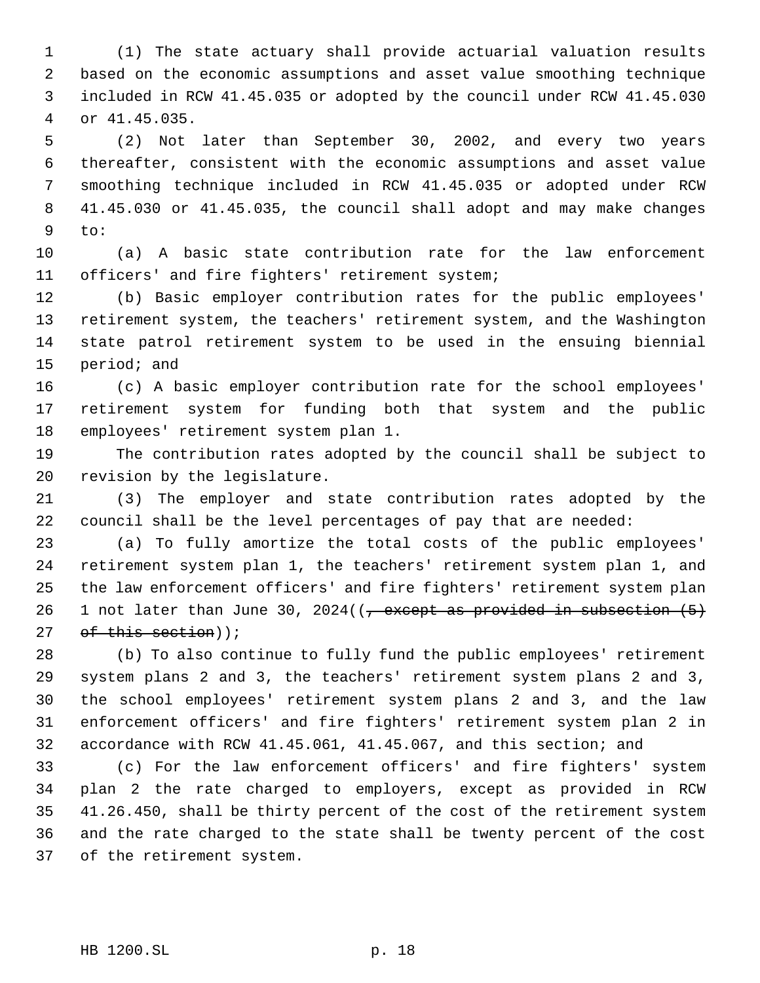(1) The state actuary shall provide actuarial valuation results based on the economic assumptions and asset value smoothing technique included in RCW 41.45.035 or adopted by the council under RCW 41.45.030 or 41.45.035.

 (2) Not later than September 30, 2002, and every two years thereafter, consistent with the economic assumptions and asset value smoothing technique included in RCW 41.45.035 or adopted under RCW 41.45.030 or 41.45.035, the council shall adopt and may make changes to:

 (a) A basic state contribution rate for the law enforcement officers' and fire fighters' retirement system;

 (b) Basic employer contribution rates for the public employees' retirement system, the teachers' retirement system, and the Washington state patrol retirement system to be used in the ensuing biennial period; and

 (c) A basic employer contribution rate for the school employees' retirement system for funding both that system and the public employees' retirement system plan 1.

 The contribution rates adopted by the council shall be subject to revision by the legislature.

 (3) The employer and state contribution rates adopted by the council shall be the level percentages of pay that are needed:

 (a) To fully amortize the total costs of the public employees' retirement system plan 1, the teachers' retirement system plan 1, and the law enforcement officers' and fire fighters' retirement system plan 26 1 not later than June 30, 2024( $\frac{7}{7}$  except as provided in subsection  $(5)$  $of$  this section));

 (b) To also continue to fully fund the public employees' retirement system plans 2 and 3, the teachers' retirement system plans 2 and 3, the school employees' retirement system plans 2 and 3, and the law enforcement officers' and fire fighters' retirement system plan 2 in accordance with RCW 41.45.061, 41.45.067, and this section; and

 (c) For the law enforcement officers' and fire fighters' system plan 2 the rate charged to employers, except as provided in RCW 41.26.450, shall be thirty percent of the cost of the retirement system and the rate charged to the state shall be twenty percent of the cost of the retirement system.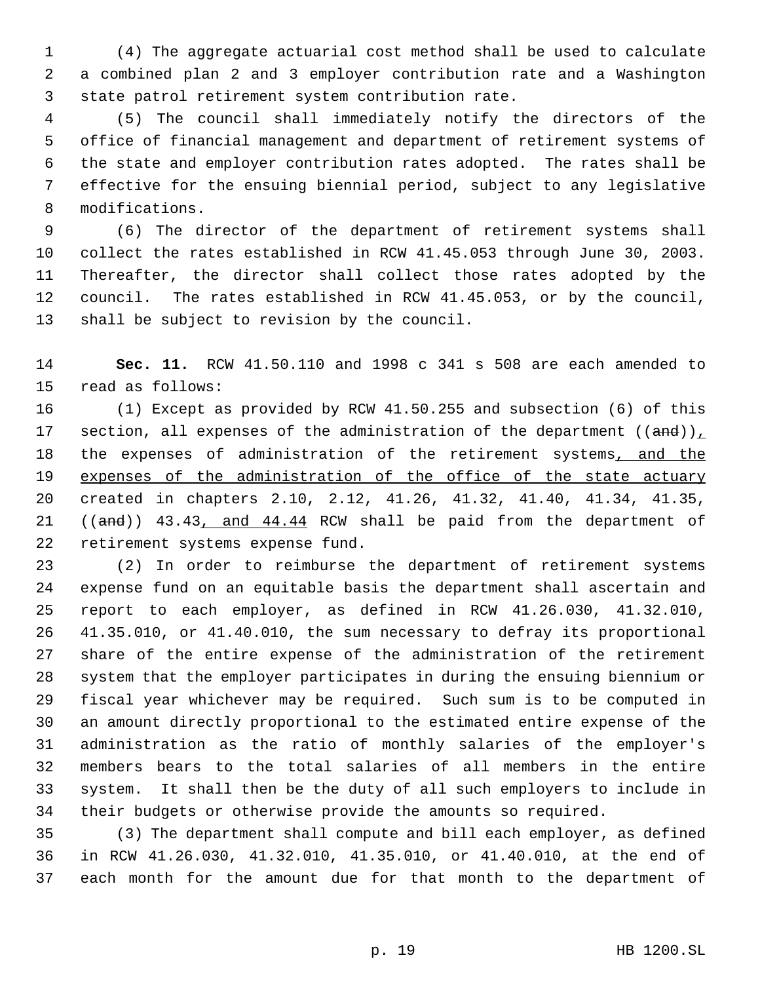(4) The aggregate actuarial cost method shall be used to calculate a combined plan 2 and 3 employer contribution rate and a Washington state patrol retirement system contribution rate.

 (5) The council shall immediately notify the directors of the office of financial management and department of retirement systems of the state and employer contribution rates adopted. The rates shall be effective for the ensuing biennial period, subject to any legislative modifications.

 (6) The director of the department of retirement systems shall collect the rates established in RCW 41.45.053 through June 30, 2003. Thereafter, the director shall collect those rates adopted by the council. The rates established in RCW 41.45.053, or by the council, shall be subject to revision by the council.

 **Sec. 11.** RCW 41.50.110 and 1998 c 341 s 508 are each amended to read as follows:

 (1) Except as provided by RCW 41.50.255 and subsection (6) of this 17 section, all expenses of the administration of the department ((and)), 18 the expenses of administration of the retirement systems, and the 19 expenses of the administration of the office of the state actuary created in chapters 2.10, 2.12, 41.26, 41.32, 41.40, 41.34, 41.35, 21 ((and)) 43.43, and 44.44 RCW shall be paid from the department of retirement systems expense fund.

 (2) In order to reimburse the department of retirement systems expense fund on an equitable basis the department shall ascertain and report to each employer, as defined in RCW 41.26.030, 41.32.010, 41.35.010, or 41.40.010, the sum necessary to defray its proportional share of the entire expense of the administration of the retirement system that the employer participates in during the ensuing biennium or fiscal year whichever may be required. Such sum is to be computed in an amount directly proportional to the estimated entire expense of the administration as the ratio of monthly salaries of the employer's members bears to the total salaries of all members in the entire system. It shall then be the duty of all such employers to include in their budgets or otherwise provide the amounts so required.

 (3) The department shall compute and bill each employer, as defined in RCW 41.26.030, 41.32.010, 41.35.010, or 41.40.010, at the end of each month for the amount due for that month to the department of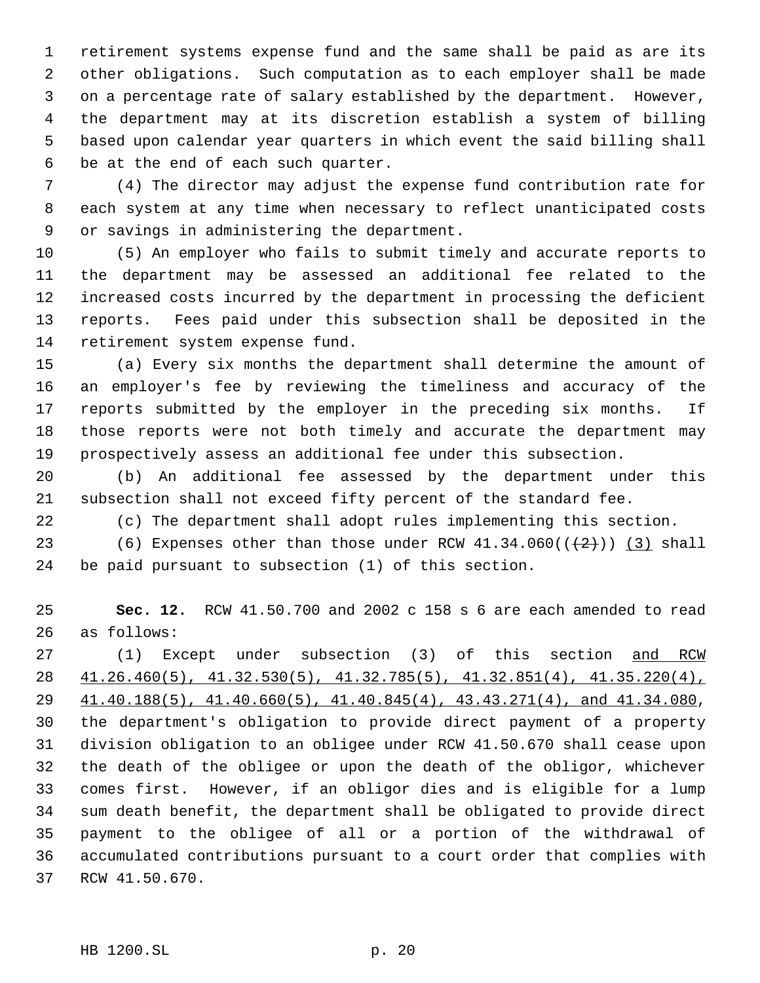retirement systems expense fund and the same shall be paid as are its other obligations. Such computation as to each employer shall be made on a percentage rate of salary established by the department. However, the department may at its discretion establish a system of billing based upon calendar year quarters in which event the said billing shall be at the end of each such quarter.

 (4) The director may adjust the expense fund contribution rate for each system at any time when necessary to reflect unanticipated costs or savings in administering the department.

 (5) An employer who fails to submit timely and accurate reports to the department may be assessed an additional fee related to the increased costs incurred by the department in processing the deficient reports. Fees paid under this subsection shall be deposited in the retirement system expense fund.

 (a) Every six months the department shall determine the amount of an employer's fee by reviewing the timeliness and accuracy of the reports submitted by the employer in the preceding six months. If those reports were not both timely and accurate the department may prospectively assess an additional fee under this subsection.

 (b) An additional fee assessed by the department under this subsection shall not exceed fifty percent of the standard fee.

(c) The department shall adopt rules implementing this section.

23 (6) Expenses other than those under RCW  $41.34.060((\leftarrow{2})$  (3) shall be paid pursuant to subsection (1) of this section.

 **Sec. 12.** RCW 41.50.700 and 2002 c 158 s 6 are each amended to read as follows:

27 (1) Except under subsection (3) of this section and RCW 41.26.460(5), 41.32.530(5), 41.32.785(5), 41.32.851(4), 41.35.220(4), 41.40.188(5), 41.40.660(5), 41.40.845(4), 43.43.271(4), and 41.34.080, the department's obligation to provide direct payment of a property division obligation to an obligee under RCW 41.50.670 shall cease upon the death of the obligee or upon the death of the obligor, whichever comes first. However, if an obligor dies and is eligible for a lump sum death benefit, the department shall be obligated to provide direct payment to the obligee of all or a portion of the withdrawal of accumulated contributions pursuant to a court order that complies with RCW 41.50.670.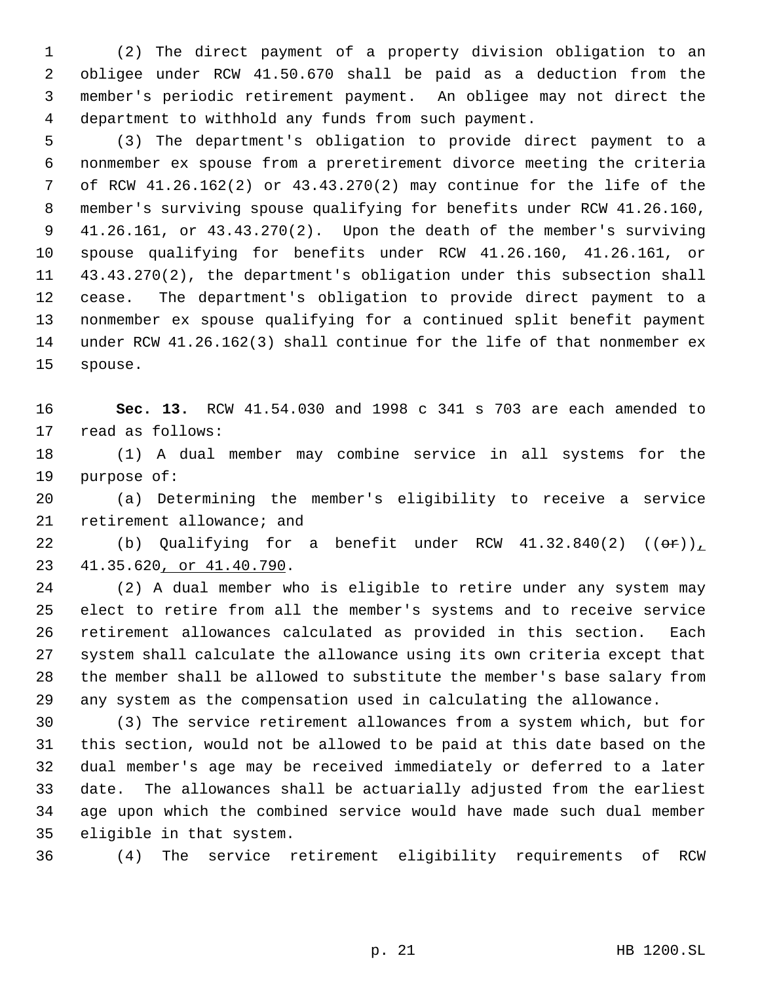(2) The direct payment of a property division obligation to an obligee under RCW 41.50.670 shall be paid as a deduction from the member's periodic retirement payment. An obligee may not direct the department to withhold any funds from such payment.

 (3) The department's obligation to provide direct payment to a nonmember ex spouse from a preretirement divorce meeting the criteria of RCW 41.26.162(2) or 43.43.270(2) may continue for the life of the member's surviving spouse qualifying for benefits under RCW 41.26.160, 41.26.161, or 43.43.270(2). Upon the death of the member's surviving spouse qualifying for benefits under RCW 41.26.160, 41.26.161, or 43.43.270(2), the department's obligation under this subsection shall cease. The department's obligation to provide direct payment to a nonmember ex spouse qualifying for a continued split benefit payment under RCW 41.26.162(3) shall continue for the life of that nonmember ex spouse.

 **Sec. 13.** RCW 41.54.030 and 1998 c 341 s 703 are each amended to read as follows:

 (1) A dual member may combine service in all systems for the purpose of:

 (a) Determining the member's eligibility to receive a service retirement allowance; and

22 (b) Qualifying for a benefit under RCW  $41.32.840(2)$  (( $\Theta$ r)) 41.35.620, or 41.40.790.

 (2) A dual member who is eligible to retire under any system may elect to retire from all the member's systems and to receive service retirement allowances calculated as provided in this section. Each system shall calculate the allowance using its own criteria except that the member shall be allowed to substitute the member's base salary from any system as the compensation used in calculating the allowance.

 (3) The service retirement allowances from a system which, but for this section, would not be allowed to be paid at this date based on the dual member's age may be received immediately or deferred to a later date. The allowances shall be actuarially adjusted from the earliest age upon which the combined service would have made such dual member eligible in that system.

(4) The service retirement eligibility requirements of RCW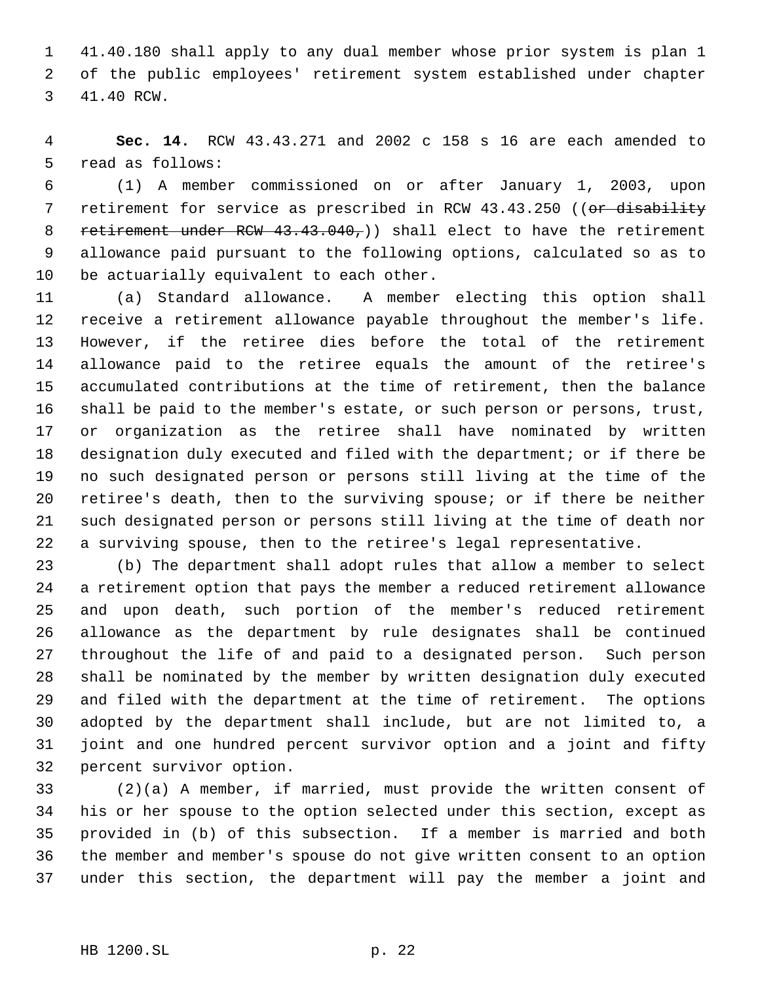41.40.180 shall apply to any dual member whose prior system is plan 1 of the public employees' retirement system established under chapter 41.40 RCW.

 **Sec. 14.** RCW 43.43.271 and 2002 c 158 s 16 are each amended to read as follows:

 (1) A member commissioned on or after January 1, 2003, upon 7 retirement for service as prescribed in RCW 43.43.250 ((or disability 8 retirement under RCW 43.43.040,) shall elect to have the retirement allowance paid pursuant to the following options, calculated so as to 10 be actuarially equivalent to each other.

 (a) Standard allowance. A member electing this option shall receive a retirement allowance payable throughout the member's life. However, if the retiree dies before the total of the retirement allowance paid to the retiree equals the amount of the retiree's accumulated contributions at the time of retirement, then the balance shall be paid to the member's estate, or such person or persons, trust, or organization as the retiree shall have nominated by written designation duly executed and filed with the department; or if there be no such designated person or persons still living at the time of the retiree's death, then to the surviving spouse; or if there be neither such designated person or persons still living at the time of death nor a surviving spouse, then to the retiree's legal representative.

 (b) The department shall adopt rules that allow a member to select a retirement option that pays the member a reduced retirement allowance and upon death, such portion of the member's reduced retirement allowance as the department by rule designates shall be continued throughout the life of and paid to a designated person. Such person shall be nominated by the member by written designation duly executed and filed with the department at the time of retirement. The options adopted by the department shall include, but are not limited to, a joint and one hundred percent survivor option and a joint and fifty percent survivor option.

 (2)(a) A member, if married, must provide the written consent of his or her spouse to the option selected under this section, except as provided in (b) of this subsection. If a member is married and both the member and member's spouse do not give written consent to an option under this section, the department will pay the member a joint and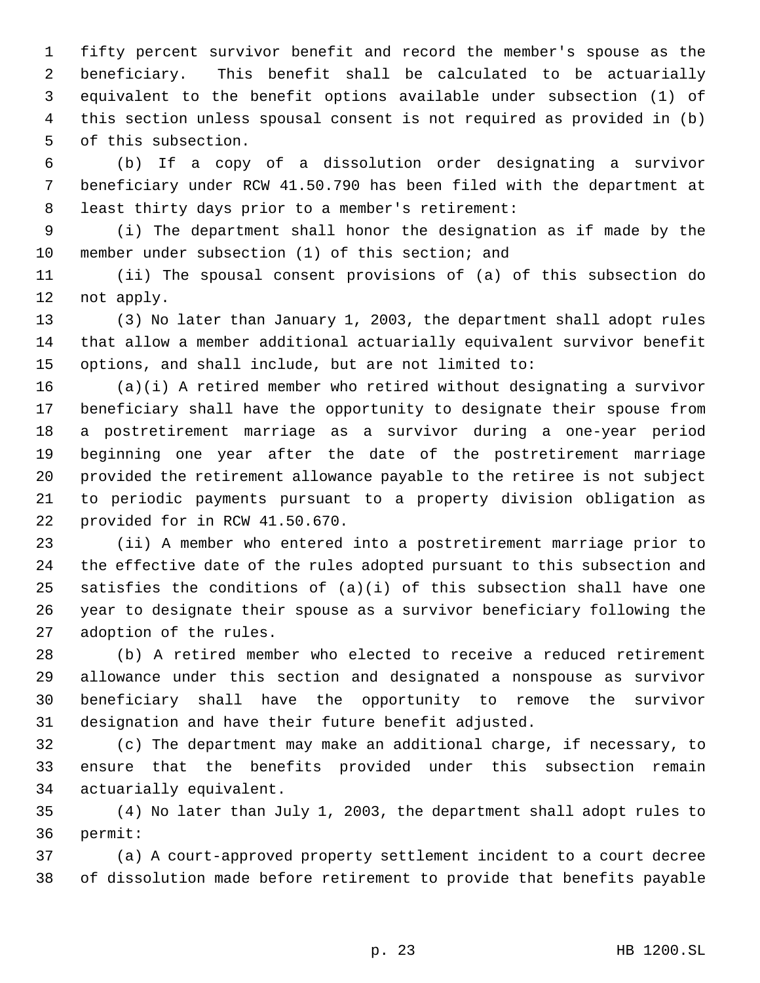fifty percent survivor benefit and record the member's spouse as the beneficiary. This benefit shall be calculated to be actuarially equivalent to the benefit options available under subsection (1) of this section unless spousal consent is not required as provided in (b) of this subsection.

 (b) If a copy of a dissolution order designating a survivor beneficiary under RCW 41.50.790 has been filed with the department at least thirty days prior to a member's retirement:

 (i) The department shall honor the designation as if made by the member under subsection (1) of this section; and

 (ii) The spousal consent provisions of (a) of this subsection do not apply.

 (3) No later than January 1, 2003, the department shall adopt rules that allow a member additional actuarially equivalent survivor benefit options, and shall include, but are not limited to:

 (a)(i) A retired member who retired without designating a survivor beneficiary shall have the opportunity to designate their spouse from a postretirement marriage as a survivor during a one-year period beginning one year after the date of the postretirement marriage provided the retirement allowance payable to the retiree is not subject to periodic payments pursuant to a property division obligation as provided for in RCW 41.50.670.

 (ii) A member who entered into a postretirement marriage prior to the effective date of the rules adopted pursuant to this subsection and 25 satisfies the conditions of  $(a)(i)$  of this subsection shall have one year to designate their spouse as a survivor beneficiary following the adoption of the rules.

 (b) A retired member who elected to receive a reduced retirement allowance under this section and designated a nonspouse as survivor beneficiary shall have the opportunity to remove the survivor designation and have their future benefit adjusted.

 (c) The department may make an additional charge, if necessary, to ensure that the benefits provided under this subsection remain actuarially equivalent.

 (4) No later than July 1, 2003, the department shall adopt rules to permit:

 (a) A court-approved property settlement incident to a court decree of dissolution made before retirement to provide that benefits payable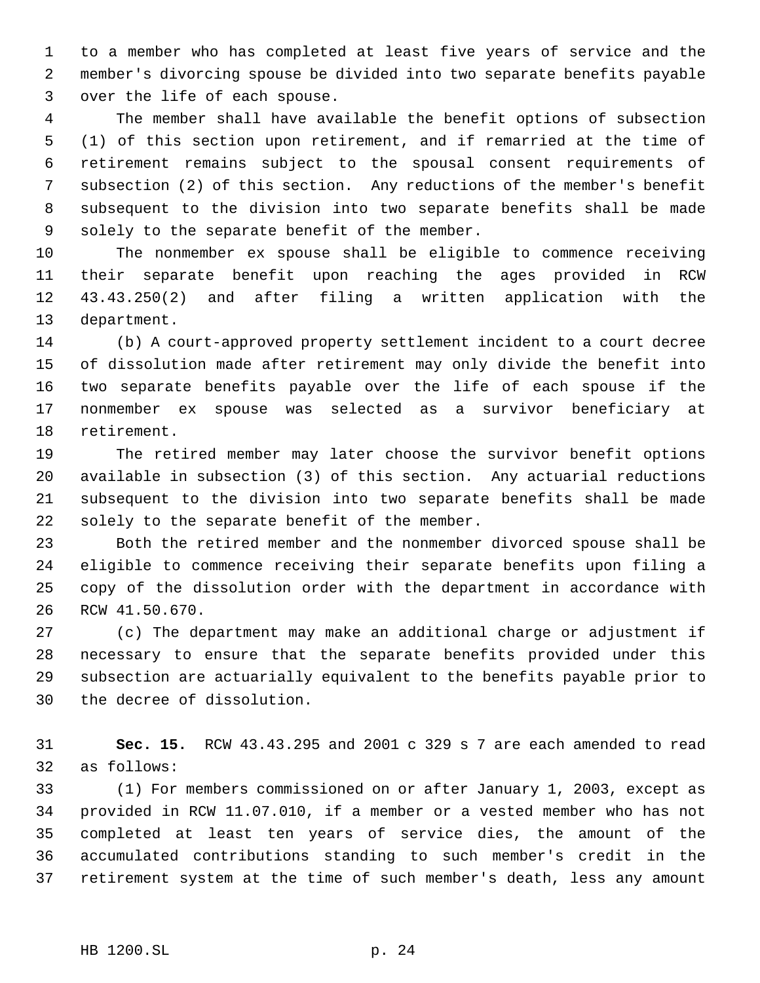to a member who has completed at least five years of service and the member's divorcing spouse be divided into two separate benefits payable over the life of each spouse.

 The member shall have available the benefit options of subsection (1) of this section upon retirement, and if remarried at the time of retirement remains subject to the spousal consent requirements of subsection (2) of this section. Any reductions of the member's benefit subsequent to the division into two separate benefits shall be made solely to the separate benefit of the member.

 The nonmember ex spouse shall be eligible to commence receiving their separate benefit upon reaching the ages provided in RCW 43.43.250(2) and after filing a written application with the department.

 (b) A court-approved property settlement incident to a court decree of dissolution made after retirement may only divide the benefit into two separate benefits payable over the life of each spouse if the nonmember ex spouse was selected as a survivor beneficiary at retirement.

 The retired member may later choose the survivor benefit options available in subsection (3) of this section. Any actuarial reductions subsequent to the division into two separate benefits shall be made solely to the separate benefit of the member.

 Both the retired member and the nonmember divorced spouse shall be eligible to commence receiving their separate benefits upon filing a copy of the dissolution order with the department in accordance with RCW 41.50.670.

 (c) The department may make an additional charge or adjustment if necessary to ensure that the separate benefits provided under this subsection are actuarially equivalent to the benefits payable prior to the decree of dissolution.

 **Sec. 15.** RCW 43.43.295 and 2001 c 329 s 7 are each amended to read as follows:

 (1) For members commissioned on or after January 1, 2003, except as provided in RCW 11.07.010, if a member or a vested member who has not completed at least ten years of service dies, the amount of the accumulated contributions standing to such member's credit in the retirement system at the time of such member's death, less any amount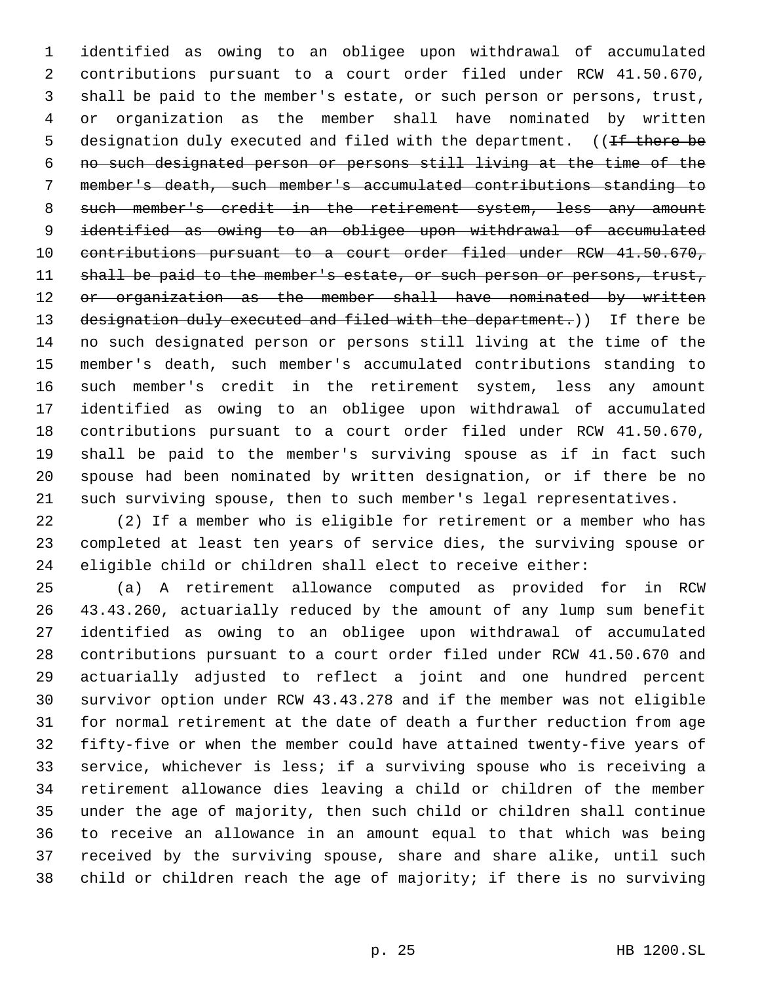identified as owing to an obligee upon withdrawal of accumulated contributions pursuant to a court order filed under RCW 41.50.670, shall be paid to the member's estate, or such person or persons, trust, or organization as the member shall have nominated by written 5 designation duly executed and filed with the department. ((If there be no such designated person or persons still living at the time of the member's death, such member's accumulated contributions standing to 8 such member's credit in the retirement system, less any amount identified as owing to an obligee upon withdrawal of accumulated contributions pursuant to a court order filed under RCW 41.50.670, 11 shall be paid to the member's estate, or such person or persons, trust, 12 or organization as the member shall have nominated by written 13 designation duly executed and filed with the department.)) If there be no such designated person or persons still living at the time of the member's death, such member's accumulated contributions standing to such member's credit in the retirement system, less any amount identified as owing to an obligee upon withdrawal of accumulated contributions pursuant to a court order filed under RCW 41.50.670, shall be paid to the member's surviving spouse as if in fact such spouse had been nominated by written designation, or if there be no such surviving spouse, then to such member's legal representatives.

 (2) If a member who is eligible for retirement or a member who has completed at least ten years of service dies, the surviving spouse or eligible child or children shall elect to receive either:

 (a) A retirement allowance computed as provided for in RCW 43.43.260, actuarially reduced by the amount of any lump sum benefit identified as owing to an obligee upon withdrawal of accumulated contributions pursuant to a court order filed under RCW 41.50.670 and actuarially adjusted to reflect a joint and one hundred percent survivor option under RCW 43.43.278 and if the member was not eligible for normal retirement at the date of death a further reduction from age fifty-five or when the member could have attained twenty-five years of service, whichever is less; if a surviving spouse who is receiving a retirement allowance dies leaving a child or children of the member under the age of majority, then such child or children shall continue to receive an allowance in an amount equal to that which was being received by the surviving spouse, share and share alike, until such child or children reach the age of majority; if there is no surviving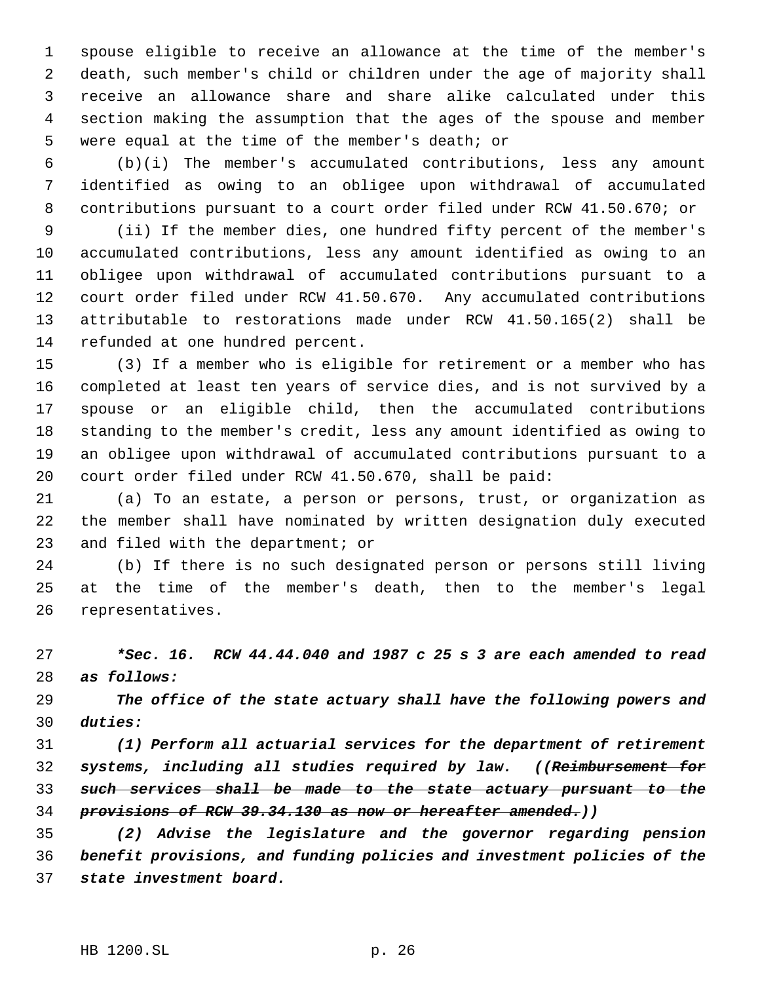spouse eligible to receive an allowance at the time of the member's death, such member's child or children under the age of majority shall receive an allowance share and share alike calculated under this section making the assumption that the ages of the spouse and member were equal at the time of the member's death; or

 (b)(i) The member's accumulated contributions, less any amount identified as owing to an obligee upon withdrawal of accumulated contributions pursuant to a court order filed under RCW 41.50.670; or

 (ii) If the member dies, one hundred fifty percent of the member's accumulated contributions, less any amount identified as owing to an obligee upon withdrawal of accumulated contributions pursuant to a court order filed under RCW 41.50.670. Any accumulated contributions attributable to restorations made under RCW 41.50.165(2) shall be refunded at one hundred percent.

 (3) If a member who is eligible for retirement or a member who has completed at least ten years of service dies, and is not survived by a spouse or an eligible child, then the accumulated contributions standing to the member's credit, less any amount identified as owing to an obligee upon withdrawal of accumulated contributions pursuant to a court order filed under RCW 41.50.670, shall be paid:

 (a) To an estate, a person or persons, trust, or organization as the member shall have nominated by written designation duly executed and filed with the department; or

 (b) If there is no such designated person or persons still living at the time of the member's death, then to the member's legal representatives.

 *\*Sec. 16. RCW 44.44.040 and 1987 c 25 s 3 are each amended to read as follows:*

 *The office of the state actuary shall have the following powers and duties:*

 *(1) Perform all actuarial services for the department of retirement systems, including all studies required by law. ((Reimbursement for such services shall be made to the state actuary pursuant to the provisions of RCW 39.34.130 as now or hereafter amended.))*

 *(2) Advise the legislature and the governor regarding pension benefit provisions, and funding policies and investment policies of the state investment board.*